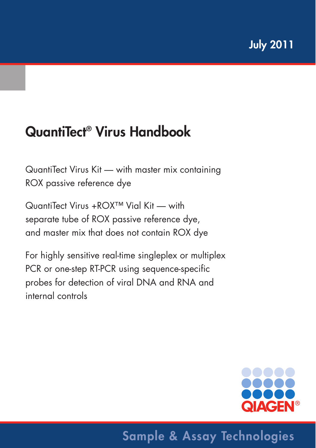# **QuantiTect® Virus Handbook**

QuantiTect Virus Kit — with master mix containing ROX passive reference dye

QuantiTect Virus +ROX™ Vial Kit — with separate tube of ROX passive reference dye, and master mix that does not contain ROX dye

For highly sensitive real-time singleplex or multiplex PCR or one-step RT-PCR using sequence-specific probes for detection of viral DNA and RNA and internal controls



# **Sample & Assay Technologies**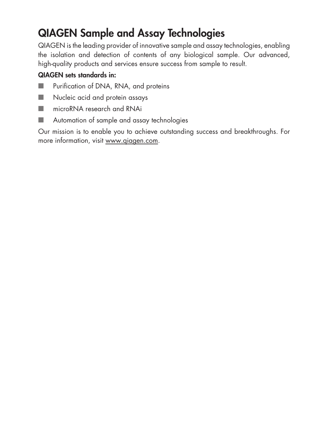## **QIAGEN Sample and Assay Technologies**

QIAGEN is the leading provider of innovative sample and assay technologies, enabling the isolation and detection of contents of any biological sample. Our advanced, high-quality products and services ensure success from sample to result.

### **QIAGEN sets standards in:**

- Purification of DNA, RNA, and proteins
- Nucleic acid and protein assays
- microRNA research and RNAi
- Automation of sample and assay technologies

Our mission is to enable you to achieve outstanding success and breakthroughs. For more information, visit www.qiagen.com.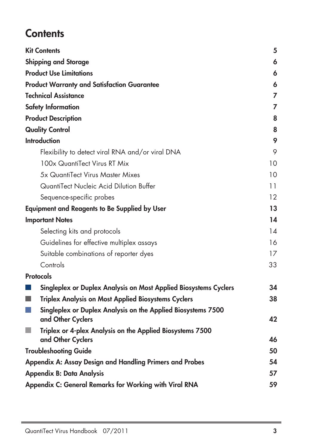## **Contents**

|                | <b>Kit Contents</b>                                                            | 5              |
|----------------|--------------------------------------------------------------------------------|----------------|
|                | <b>Shipping and Storage</b>                                                    | 6              |
|                | <b>Product Use Limitations</b>                                                 | 6              |
|                | <b>Product Warranty and Satisfaction Guarantee</b>                             | 6              |
|                | <b>Technical Assistance</b>                                                    | $\overline{7}$ |
|                | <b>Safety Information</b>                                                      | 7              |
|                | <b>Product Description</b>                                                     | 8              |
|                | <b>Quality Control</b>                                                         | 8              |
|                | <b>Introduction</b>                                                            | 9              |
|                | Flexibility to detect viral RNA and/or viral DNA                               | 9              |
|                | 100x QuantiTect Virus RT Mix                                                   | 10             |
|                | 5x QuantiTect Virus Master Mixes                                               | 10             |
|                | QuantiTect Nucleic Acid Dilution Buffer                                        | 11             |
|                | Sequence-specific probes                                                       | 12             |
|                | <b>Equipment and Reagents to Be Supplied by User</b>                           | 13             |
|                | <b>Important Notes</b>                                                         | 14             |
|                | Selecting kits and protocols                                                   | 14             |
|                | Guidelines for effective multiplex assays                                      | 16             |
|                | Suitable combinations of reporter dyes                                         | 17             |
|                | Controls                                                                       | 33             |
|                | <b>Protocols</b>                                                               |                |
|                | Singleplex or Duplex Analysis on Most Applied Biosystems Cyclers               | 34             |
| ٠              | <b>Triplex Analysis on Most Applied Biosystems Cyclers</b>                     | 38             |
|                | Singleplex or Duplex Analysis on the Applied Biosystems 7500                   |                |
|                | and Other Cyclers                                                              | 42             |
| <b>College</b> | Triplex or 4-plex Analysis on the Applied Biosystems 7500<br>and Other Cyclers | 46             |
|                | <b>Troubleshooting Guide</b>                                                   | 50             |
|                | Appendix A: Assay Design and Handling Primers and Probes                       | 54             |
|                | <b>Appendix B: Data Analysis</b>                                               | 57             |
|                | Appendix C: General Remarks for Working with Viral RNA                         | 59             |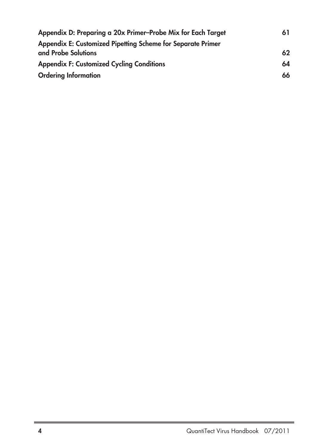| Appendix D: Preparing a 20x Primer-Probe Mix for Each Target                       |    |
|------------------------------------------------------------------------------------|----|
| Appendix E: Customized Pipetting Scheme for Separate Primer<br>and Probe Solutions | 62 |
| <b>Appendix F: Customized Cycling Conditions</b>                                   | 64 |
| <b>Ordering Information</b>                                                        | 66 |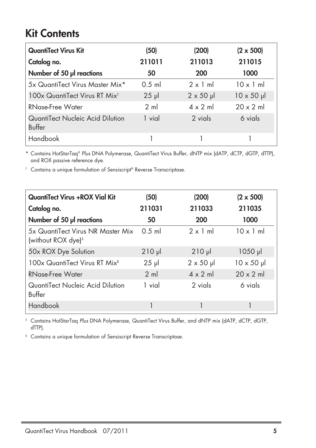## **Kit Contents**

| <b>QuantiTect Virus Kit</b>                | (50)           | (200)             | $(2 \times 500)$  |
|--------------------------------------------|----------------|-------------------|-------------------|
| Catalog no.                                | 211011         | 211013            | 211015            |
| Number of 50 µl reactions                  | 50             | 200               | 1000              |
| 5x QuantiTect Virus Master Mix*            | $0.5$ m        | $2 \times 1$ m    | $10 \times 1$ ml  |
| 100x QuantiTect Virus RT Mix <sup>t</sup>  | $25 \mu$       | $2 \times 50 \mu$ | $10 \times 50$ µl |
| <b>RNase-Free Water</b>                    | $2 \text{ ml}$ | $4 \times 2$ m    | $20 \times 2$ ml  |
| QuantiTect Nucleic Acid Dilution<br>Buffer | 1 vial         | 2 vials           | 6 vials           |
| Handbook                                   |                |                   |                   |

\* Contains HotStarTaq® Plus DNA Polymerase, QuantiTect Virus Buffer, dNTP mix (dATP, dCTP, dGTP, dTTP), and ROX passive reference dye.

<sup>†</sup> Contains a unique formulation of Sensiscript® Reverse Transcriptase.

| <b>QuantiTect Virus +ROX Vial Kit</b>                               | (50)           | (200)             | $(2 \times 500)$   |
|---------------------------------------------------------------------|----------------|-------------------|--------------------|
| Catalog no.                                                         | 211031         | 211033            | 211035             |
| Number of 50 µl reactions                                           | 50             | 200               | 1000               |
| 5x QuantiTect Virus NR Master Mix<br>(without ROX dye) <sup>#</sup> | $0.5$ m        | $2 \times 1$ ml   | $10 \times 1$ ml   |
| 50x ROX Dye Solution                                                | $210$ $\mu$    | $210$ $\mu$       | $1050$ pl          |
| 100x QuantiTect Virus RT Mix <sup>§</sup>                           | $25 \mu$       | $2 \times 50 \mu$ | $10 \times 50 \mu$ |
| RNase-Free Water                                                    | $2 \text{ ml}$ | $4 \times 2$ ml   | $20 \times 2$ ml   |
| QuantiTect Nucleic Acid Dilution<br>Buffer                          | 1 vial         | 2 vials           | 6 vials            |
| Handbook                                                            |                |                   |                    |

‡ Contains HotStarTaq Plus DNA Polymerase, QuantiTect Virus Buffer, and dNTP mix (dATP, dCTP, dGTP, dTTP).

§ Contains a unique formulation of Sensiscript Reverse Transcriptase.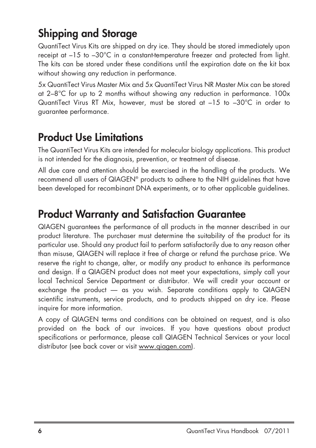## **Shipping and Storage**

QuantiTect Virus Kits are shipped on dry ice. They should be stored immediately upon receipt at –15 to –30°C in a constant-temperature freezer and protected from light. The kits can be stored under these conditions until the expiration date on the kit box without showing any reduction in performance.

5x QuantiTect Virus Master Mix and 5x QuantiTect Virus NR Master Mix can be stored at 2–8°C for up to 2 months without showing any reduction in performance. 100x QuantiTect Virus RT Mix, however, must be stored at –15 to –30°C in order to guarantee performance.

## **Product Use Limitations**

The QuantiTect Virus Kits are intended for molecular biology applications. This product is not intended for the diagnosis, prevention, or treatment of disease.

All due care and attention should be exercised in the handling of the products. We recommend all users of QIAGEN® products to adhere to the NIH guidelines that have been developed for recombinant DNA experiments, or to other applicable guidelines.

## **Product Warranty and Satisfaction Guarantee**

QIAGEN guarantees the performance of all products in the manner described in our product literature. The purchaser must determine the suitability of the product for its particular use. Should any product fail to perform satisfactorily due to any reason other than misuse, QIAGEN will replace it free of charge or refund the purchase price. We reserve the right to change, alter, or modify any product to enhance its performance and design. If a QIAGEN product does not meet your expectations, simply call your local Technical Service Department or distributor. We will credit your account or exchange the product — as you wish. Separate conditions apply to QIAGEN scientific instruments, service products, and to products shipped on dry ice. Please inquire for more information.

A copy of QIAGEN terms and conditions can be obtained on request, and is also provided on the back of our invoices. If you have questions about product specifications or performance, please call QIAGEN Technical Services or your local distributor (see back cover or visit www.qiagen.com).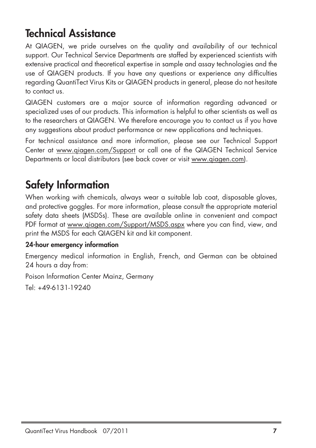## **Technical Assistance**

At QIAGEN, we pride ourselves on the quality and availability of our technical support. Our Technical Service Departments are staffed by experienced scientists with extensive practical and theoretical expertise in sample and assay technologies and the use of QIAGEN products. If you have any questions or experience any difficulties regarding QuantiTect Virus Kits or QIAGEN products in general, please do not hesitate to contact us.

QIAGEN customers are a major source of information regarding advanced or specialized uses of our products. This information is helpful to other scientists as well as to the researchers at QIAGEN. We therefore encourage you to contact us if you have any suggestions about product performance or new applications and techniques.

For technical assistance and more information, please see our Technical Support Center at www.qiagen.com/Support or call one of the QIAGEN Technical Service Departments or local distributors (see back cover or visit www.qiagen.com).

## **Safety Information**

When working with chemicals, always wear a suitable lab coat, disposable gloves, and protective goggles. For more information, please consult the appropriate material safety data sheets (MSDSs). These are available online in convenient and compact PDF format at www.qiagen.com/Support/MSDS.aspx where you can find, view, and print the MSDS for each QIAGEN kit and kit component.

### **24-hour emergency information**

Emergency medical information in English, French, and German can be obtained 24 hours a day from:

Poison Information Center Mainz, Germany

Tel: +49-6131-19240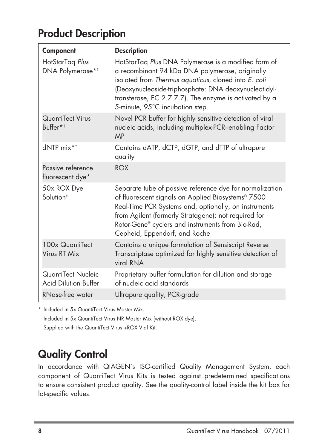## **Product Description**

| Component                                         | <b>Description</b>                                                                                                                                                                                                                                                                                                    |
|---------------------------------------------------|-----------------------------------------------------------------------------------------------------------------------------------------------------------------------------------------------------------------------------------------------------------------------------------------------------------------------|
| HotStarTag Plus<br>DNA Polymerase* <sup>†</sup>   | HotStarTaq Plus DNA Polymerase is a modified form of<br>a recombinant 94 kDa DNA polymerase, originally<br>isolated from Thermus aquaticus, cloned into E. coli<br>(Deoxynucleoside-triphosphate: DNA deoxynucleotidyl-<br>transferase, EC 2.7.7.7). The enzyme is activated by a<br>5-minute, 95°C incubation step.  |
| QuantiTect Virus<br>Buffer*†                      | Novel PCR buffer for highly sensitive detection of viral<br>nucleic acids, including multiplex-PCR-enabling Factor<br><b>MP</b>                                                                                                                                                                                       |
| $dNTP$ mix <sup>*†</sup>                          | Contains dATP, dCTP, dGTP, and dTTP of ultrapure<br>quality                                                                                                                                                                                                                                                           |
| Passive reference<br>fluorescent dye*             | <b>ROX</b>                                                                                                                                                                                                                                                                                                            |
| 50x ROX Dye<br>Solution <sup>#</sup>              | Separate tube of passive reference dye for normalization<br>of fluorescent signals on Applied Biosystems® 7500<br>Real-Time PCR Systems and, optionally, on instruments<br>from Agilent (formerly Stratagene); not required for<br>Rotor-Gene® cyclers and instruments from Bio-Rad,<br>Cepheid, Eppendorf, and Roche |
| 100x QuantiTect<br>Virus RT Mix                   | Contains a unique formulation of Sensiscript Reverse<br>Transcriptase optimized for highly sensitive detection of<br>viral RNA                                                                                                                                                                                        |
| QuantiTect Nucleic<br><b>Acid Dilution Buffer</b> | Proprietary buffer formulation for dilution and storage<br>of nucleic acid standards                                                                                                                                                                                                                                  |
| RNase-free water                                  | Ultrapure quality, PCR-grade                                                                                                                                                                                                                                                                                          |

\* Included in 5x QuantiTect Virus Master Mix.

† Included in 5x QuantiTect Virus NR Master Mix (without ROX dye).

‡ Supplied with the QuantiTect Virus +ROX Vial Kit.

## **Quality Control**

In accordance with QIAGEN's ISO-certified Quality Management System, each component of QuantiTect Virus Kits is tested against predetermined specifications to ensure consistent product quality. See the quality-control label inside the kit box for lot-specific values.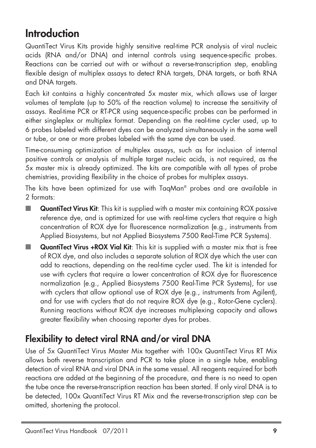## **Introduction**

QuantiTect Virus Kits provide highly sensitive real-time PCR analysis of viral nucleic acids (RNA and/or DNA) and internal controls using sequence-specific probes. Reactions can be carried out with or without a reverse-transcription step, enabling flexible design of multiplex assays to detect RNA targets, DNA targets, or both RNA and DNA targets.

Each kit contains a highly concentrated 5x master mix, which allows use of larger volumes of template (up to 50% of the reaction volume) to increase the sensitivity of assays. Real-time PCR or RT-PCR using sequence-specific probes can be performed in either singleplex or multiplex format. Depending on the real-time cycler used, up to 6 probes labeled with different dyes can be analyzed simultaneously in the same well or tube, or one or more probes labeled with the same dye can be used.

Time-consuming optimization of multiplex assays, such as for inclusion of internal positive controls or analysis of multiple target nucleic acids, is not required, as the 5x master mix is already optimized. The kits are compatible with all types of probe chemistries, providing flexibility in the choice of probes for multiplex assays.

The kits have been optimized for use with TaqMan® probes and are available in 2 formats:

- **QuantiTect Virus Kit**: This kit is supplied with a master mix containing ROX passive reference dye, and is optimized for use with real-time cyclers that require a high concentration of ROX dye for fluorescence normalization (e.g., instruments from Applied Biosystems, but not Applied Biosystems 7500 Real-Time PCR Systems).
- **QuantiTect Virus +ROX Vial Kit**: This kit is supplied with a master mix that is free of ROX dye, and also includes a separate solution of ROX dye which the user can add to reactions, depending on the real-time cycler used. The kit is intended for use with cyclers that require a lower concentration of ROX dye for fluorescence normalization (e.g., Applied Biosystems 7500 Real-Time PCR Systems), for use with cyclers that allow optional use of ROX dye (e.g., instruments from Agilent), and for use with cyclers that do not require ROX dye (e.g., Rotor-Gene cyclers). Running reactions without ROX dye increases multiplexing capacity and allows greater flexibility when choosing reporter dyes for probes.

### **Flexibility to detect viral RNA and/or viral DNA**

Use of 5x QuantiTect Virus Master Mix together with 100x QuantiTect Virus RT Mix allows both reverse transcription and PCR to take place in a single tube, enabling detection of viral RNA and viral DNA in the same vessel. All reagents required for both reactions are added at the beginning of the procedure, and there is no need to open the tube once the reverse-transcription reaction has been started. If only viral DNA is to be detected, 100x QuantiTect Virus RT Mix and the reverse-transcription step can be omitted, shortening the protocol.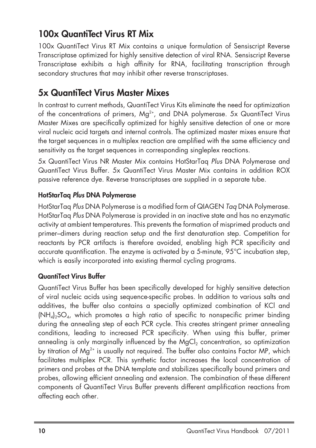### **100x QuantiTect Virus RT Mix**

100x QuantiTect Virus RT Mix contains a unique formulation of Sensiscript Reverse Transcriptase optimized for highly sensitive detection of viral RNA. Sensiscript Reverse Transcriptase exhibits a high affinity for RNA, facilitating transcription through secondary structures that may inhibit other reverse transcriptases.

### **5x QuantiTect Virus Master Mixes**

In contrast to current methods, QuantiTect Virus Kits eliminate the need for optimization of the concentrations of primers, Mg<sup>2+</sup>, and DNA polymerase. 5x QuantiTect Virus Master Mixes are specifically optimized for highly sensitive detection of one or more viral nucleic acid targets and internal controls. The optimized master mixes ensure that the target sequences in a multiplex reaction are amplified with the same efficiency and sensitivity as the target sequences in corresponding singleplex reactions.

5x QuantiTect Virus NR Master Mix contains HotStarTaq Plus DNA Polymerase and QuantiTect Virus Buffer. 5x QuantiTect Virus Master Mix contains in addition ROX passive reference dye. Reverse transcriptases are supplied in a separate tube.

### **HotStarTaq Plus DNA Polymerase**

HotStarTaq Plus DNA Polymerase is a modified form of QIAGEN Taq DNA Polymerase. HotStarTaq Plus DNA Polymerase is provided in an inactive state and has no enzymatic activity at ambient temperatures. This prevents the formation of misprimed products and primer–dimers during reaction setup and the first denaturation step. Competition for reactants by PCR artifacts is therefore avoided, enabling high PCR specificity and accurate quantification. The enzyme is activated by a 5-minute, 95°C incubation step, which is easily incorporated into existing thermal cycling programs.

### **QuantiTect Virus Buffer**

QuantiTect Virus Buffer has been specifically developed for highly sensitive detection of viral nucleic acids using sequence-specific probes. In addition to various salts and additives, the buffer also contains a specially optimized combination of KCl and  $(NH<sub>d</sub>)<sub>2</sub>SO<sub>d</sub>$ , which promotes a high ratio of specific to nonspecific primer binding during the annealing step of each PCR cycle. This creates stringent primer annealing conditions, leading to increased PCR specificity. When using this buffer, primer annealing is only marginally influenced by the MgCl<sub>2</sub> concentration, so optimization by titration of Mg<sup>2+</sup> is usually not required. The buffer also contains Factor MP, which facilitates multiplex PCR. This synthetic factor increases the local concentration of primers and probes at the DNA template and stabilizes specifically bound primers and probes, allowing efficient annealing and extension. The combination of these different components of QuantiTect Virus Buffer prevents different amplification reactions from affecting each other.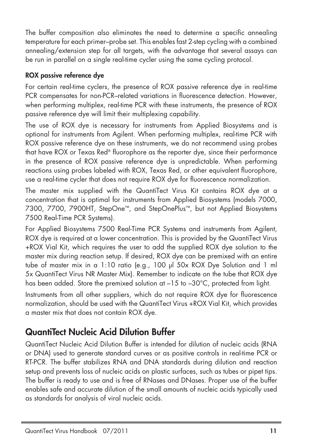The buffer composition also eliminates the need to determine a specific annealing temperature for each primer–probe set. This enables fast 2-step cycling with a combined annealing/extension step for all targets, with the advantage that several assays can be run in parallel on a single real-time cycler using the same cycling protocol.

### **ROX passive reference dye**

For certain real-time cyclers, the presence of ROX passive reference dye in real-time PCR compensates for non-PCR–related variations in fluorescence detection. However, when performing multiplex, real-time PCR with these instruments, the presence of ROX passive reference dye will limit their multiplexing capability.

The use of ROX dye is necessary for instruments from Applied Biosystems and is optional for instruments from Agilent. When performing multiplex, real-time PCR with ROX passive reference dye on these instruments, we do not recommend using probes that have ROX or Texas Red® fluorophore as the reporter dye, since their performance in the presence of ROX passive reference dye is unpredictable. When performing reactions using probes labeled with ROX, Texas Red, or other equivalent fluorophore, use a real-time cycler that does not require ROX dye for fluorescence normalization.

The master mix supplied with the QuantiTect Virus Kit contains ROX dye at a concentration that is optimal for instruments from Applied Biosystems (models 7000, 7300, 7700, 7900HT, StepOne™, and StepOnePlus™, but not Applied Biosystems 7500 Real-Time PCR Systems).

For Applied Biosystems 7500 Real-Time PCR Systems and instruments from Agilent, ROX dye is required at a lower concentration. This is provided by the QuantiTect Virus +ROX Vial Kit, which requires the user to add the supplied ROX dye solution to the master mix during reaction setup. If desired, ROX dye can be premixed with an entire tube of master mix in a 1:10 ratio (e.g., 100 µl 50x ROX Dye Solution and 1 ml 5x QuantiTect Virus NR Master Mix). Remember to indicate on the tube that ROX dye has been added. Store the premixed solution at  $-15$  to  $-30^{\circ}$ C, protected from light.

Instruments from all other suppliers, which do not require ROX dye for fluorescence normalization, should be used with the QuantiTect Virus +ROX Vial Kit, which provides a master mix that does not contain ROX dye.

### **QuantiTect Nucleic Acid Dilution Buffer**

QuantiTect Nucleic Acid Dilution Buffer is intended for dilution of nucleic acids (RNA or DNA) used to generate standard curves or as positive controls in real-time PCR or RT-PCR. The buffer stabilizes RNA and DNA standards during dilution and reaction setup and prevents loss of nucleic acids on plastic surfaces, such as tubes or pipet tips. The buffer is ready to use and is free of RNases and DNases. Proper use of the buffer enables safe and accurate dilution of the small amounts of nucleic acids typically used as standards for analysis of viral nucleic acids.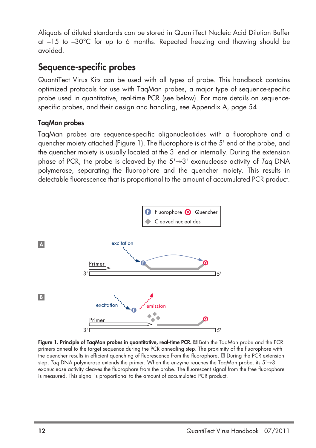Aliquots of diluted standards can be stored in QuantiTect Nucleic Acid Dilution Buffer at –15 to –30°C for up to 6 months. Repeated freezing and thawing should be avoided.

### **Sequence-specific probes**

QuantiTect Virus Kits can be used with all types of probe. This handbook contains optimized protocols for use with TaqMan probes, a major type of sequence-specific probe used in quantitative, real-time PCR (see below). For more details on sequencespecific probes, and their design and handling, see Appendix A, page 54.

### **TaqMan probes**

TaqMan probes are sequence-specific oligonucleotides with a fluorophore and a quencher moiety attached (Figure 1). The fluorophore is at the 5' end of the probe, and the quencher moiety is usually located at the 3' end or internally. During the extension phase of PCR, the probe is cleaved by the  $5' \rightarrow 3'$  exonuclease activity of Tag DNA polymerase, separating the fluorophore and the quencher moiety. This results in detectable fluorescence that is proportional to the amount of accumulated PCR product.



**Figure 1. Principle of TaqMan probes in quantitative, real-time PCR.** Both the TaqMan probe and the PCR **A** primers anneal to the target sequence during the PCR annealing step. The proximity of the fluorophore with the quencher results in efficient quenching of fluorescence from the fluorophore. **El** During the PCR extension step, Taq DNA polymerase extends the primer. When the enzyme reaches the TaqMan probe, its 5'→3' exonuclease activity cleaves the fluorophore from the probe. The fluorescent signal from the free fluorophore is measured. This signal is proportional to the amount of accumulated PCR product.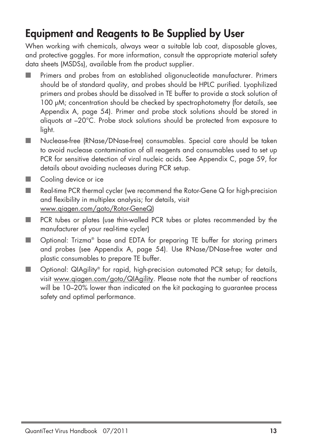## **Equipment and Reagents to Be Supplied by User**

When working with chemicals, always wear a suitable lab coat, disposable gloves, and protective goggles. For more information, consult the appropriate material safety data sheets (MSDSs), available from the product supplier.

- Primers and probes from an established oligonucleotide manufacturer. Primers should be of standard quality, and probes should be HPLC purified. Lyophilized primers and probes should be dissolved in TE buffer to provide a stock solution of 100 µM; concentration should be checked by spectrophotometry (for details, see Appendix A, page 54). Primer and probe stock solutions should be stored in aliquots at –20°C. Probe stock solutions should be protected from exposure to light.
- Nuclease-free (RNase/DNase-free) consumables. Special care should be taken to avoid nuclease contamination of all reagents and consumables used to set up PCR for sensitive detection of viral nucleic acids. See Appendix C, page 59, for details about avoiding nucleases during PCR setup.
- Cooling device or ice
- Real-time PCR thermal cycler (we recommend the Rotor-Gene Q for high-precision and flexibility in multiplex analysis; for details, visit www.qiagen.com/goto/Rotor-GeneQ)
- PCR tubes or plates (use thin-walled PCR tubes or plates recommended by the manufacturer of your real-time cycler)
- Optional: Trizma<sup>®</sup> base and EDTA for preparing TE buffer for storing primers and probes (see Appendix A, page 54). Use RNase/DNase-free water and plastic consumables to prepare TE buffer.
- Optional: QIAgility® for rapid, high-precision automated PCR setup; for details, visit www.qiagen.com/goto/QIAgility. Please note that the number of reactions will be 10–20% lower than indicated on the kit packaging to guarantee process safety and optimal performance.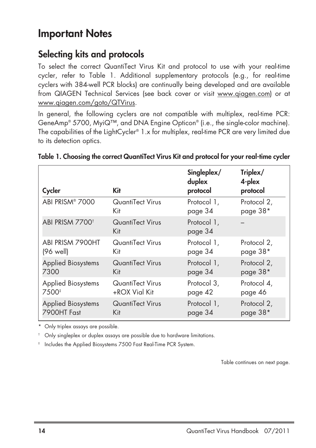### **Important Notes**

### **Selecting kits and protocols**

To select the correct QuantiTect Virus Kit and protocol to use with your real-time cycler, refer to Table 1. Additional supplementary protocols (e.g., for real-time cyclers with 384-well PCR blocks) are continually being developed and are available from QIAGEN Technical Services (see back cover or visit www.qiagen.com) or at www.qiagen.com/goto/QTVirus.

In general, the following cyclers are not compatible with multiplex, real-time PCR: GeneAmp® 5700, MyiQ™, and DNA Engine Opticon® (i.e., the single-color machine). The capabilities of the LightCycler® 1.x for multiplex, real-time PCR are very limited due to its detection optics.

| Cycler                      | <b>Kit</b>              | Singleplex/<br>duplex<br>protocol | Triplex/<br>4-plex<br>protocol |
|-----------------------------|-------------------------|-----------------------------------|--------------------------------|
| ABI PRISM® 7000             | QuantiTect Virus        | Protocol 1,                       | Protocol 2,                    |
|                             | Kit                     | page 34                           | page 38*                       |
| ABI PRISM 7700 <sup>t</sup> | QuantiTect Virus<br>Kit | Protocol 1,<br>page 34            |                                |
| ABI PRISM 7900HT            | QuantiTect Virus        | Protocol 1,                       | Protocol 2,                    |
| (96 well)                   | Kit                     | page 34                           | page 38*                       |
| <b>Applied Biosystems</b>   | QuantiTect Virus        | Protocol 1,                       | Protocol 2,                    |
| 7300                        | Kit                     | page 34                           | page 38*                       |
| <b>Applied Biosystems</b>   | QuantiTect Virus        | Protocol 3,                       | Protocol 4,                    |
| 7500 <sup>‡</sup>           | +ROX Vial Kit           | page 42                           | page 46                        |
| <b>Applied Biosystems</b>   | QuantiTect Virus        | Protocol 1,                       | Protocol 2,                    |
| 7900HT Fast                 | Kit                     | page 34                           | page 38*                       |

### **Table 1. Choosing the correct QuantiTect Virus Kit and protocol for your real-time cycler**

\* Only triplex assays are possible.

† Only singleplex or duplex assays are possible due to hardware limitations.

‡ Includes the Applied Biosystems 7500 Fast Real-Time PCR System.

Table continues on next page.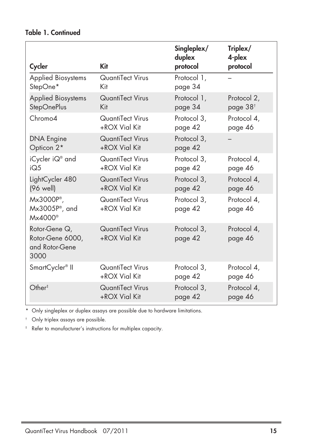|                                                              | <b>Kit</b>                               | Singleplex/<br>duplex  | Triplex/<br>4-plex     |
|--------------------------------------------------------------|------------------------------------------|------------------------|------------------------|
| Cycler                                                       |                                          | protocol               | protocol               |
| Applied Biosystems                                           | QuantiTect Virus                         | Protocol 1,            |                        |
| StepOne*                                                     | Kit                                      | page 34                |                        |
| <b>Applied Biosystems</b>                                    | <b>QuantiTect Virus</b>                  | Protocol 1,            | Protocol 2,            |
| <b>StepOnePlus</b>                                           | Kit                                      | page 34                | page 38 <sup>t</sup>   |
| Chromo <sub>4</sub>                                          | QuantiTect Virus                         | Protocol 3,            | Protocol 4,            |
|                                                              | +ROX Vial Kit                            | page 42                | page 46                |
| <b>DNA Engine</b>                                            | QuantiTect Virus                         | Protocol 3,            |                        |
| Opticon 2*                                                   | +ROX Vial Kit                            | page 42                |                        |
| iCycler iQ® and                                              | QuantiTect Virus                         | Protocol 3,            | Protocol 4.            |
| iO.5                                                         | +ROX Vial Kit                            | page 42                | page 46                |
| LightCycler 480                                              | QuantiTect Virus                         | Protocol 3,            | Protocol 4,            |
| (96 well)                                                    | +ROX Vial Kit                            | page 42                | page 46                |
| $Mx3000P^*$<br>Mx3005P®, and<br>$M \times 4000$ <sup>®</sup> | QuantiTect Virus<br>+ROX Vial Kit        | Protocol 3.<br>page 42 | Protocol 4,<br>page 46 |
| Rotor-Gene Q,<br>Rotor-Gene 6000,<br>and Rotor-Gene<br>3000  | <b>QuantiTect Virus</b><br>+ROX Vial Kit | Protocol 3,<br>page 42 | Protocol 4,<br>page 46 |
| SmartCycler <sup>®</sup> II                                  | QuantiTect Virus                         | Protocol 3,            | Protocol 4,            |
|                                                              | +ROX Vial Kit                            | page 42                | page 46                |
| Other <sup>†</sup>                                           | QuantiTect Virus                         | Protocol 3,            | Protocol 4,            |
|                                                              | +ROX Vial Kit                            | page 42                | page 46                |

### **Table 1. Continued**

\* Only singleplex or duplex assays are possible due to hardware limitations.

Only triplex assays are possible.

‡ Refer to manufacturer's instructions for multiplex capacity.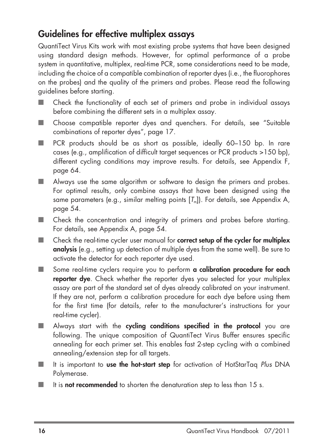### **Guidelines for effective multiplex assays**

QuantiTect Virus Kits work with most existing probe systems that have been designed using standard design methods. However, for optimal performance of a probe system in quantitative, multiplex, real-time PCR, some considerations need to be made, including the choice of a compatible combination of reporter dyes (i.e., the fluorophores on the probes) and the quality of the primers and probes. Please read the following guidelines before starting.

- Check the functionality of each set of primers and probe in individual assays before combining the different sets in a multiplex assay.
- Choose compatible reporter dyes and quenchers. For details, see "Suitable combinations of reporter dyes", page 17.
- PCR products should be as short as possible, ideally 60–150 bp. In rare cases (e.g., amplification of difficult target sequences or PCR products >150 bp), different cycling conditions may improve results. For details, see Appendix F, page 64.
- Always use the same algorithm or software to design the primers and probes. For optimal results, only combine assays that have been designed using the same parameters (e.g., similar melting points  $[T_n]$ ). For details, see Appendix A, page 54.
- Check the concentration and integrity of primers and probes before starting. For details, see Appendix A, page 54.
- Check the real-time cycler user manual for **correct setup of the cycler for multiplex analysis** (e.g., setting up detection of multiple dyes from the same well). Be sure to activate the detector for each reporter dye used.
- Some real-time cyclers require you to perform **a calibration procedure for each reporter dye**. Check whether the reporter dyes you selected for your multiplex assay are part of the standard set of dyes already calibrated on your instrument. If they are not, perform a calibration procedure for each dye before using them for the first time (for details, refer to the manufacturer's instructions for your real-time cycler).
- Always start with the **cycling conditions specified in the protocol** you are following. The unique composition of QuantiTect Virus Buffer ensures specific annealing for each primer set. This enables fast 2-step cycling with a combined annealing/extension step for all targets.
- It is important to **use the hot-start step** for activation of HotStarTag Plus DNA Polymerase.
- It is **not recommended** to shorten the denaturation step to less than 15 s.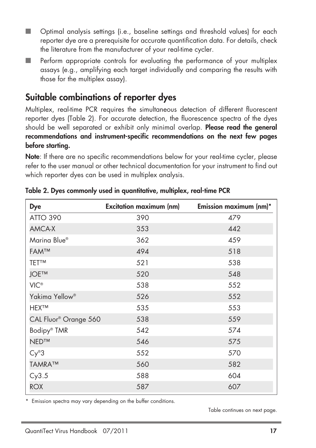- Optimal analysis settings (i.e., baseline settings and threshold values) for each reporter dye are a prerequisite for accurate quantification data. For details, check the literature from the manufacturer of your real-time cycler.
- Perform appropriate controls for evaluating the performance of your multiplex assays (e.g., amplifying each target individually and comparing the results with those for the multiplex assay).

### **Suitable combinations of reporter dyes**

Multiplex, real-time PCR requires the simultaneous detection of different fluorescent reporter dyes (Table 2). For accurate detection, the fluorescence spectra of the dyes should be well separated or exhibit only minimal overlap. **Please read the general recommendations and instrument-specific recommendations on the next few pages before starting.**

**Note**: If there are no specific recommendations below for your real-time cycler, please refer to the user manual or other technical documentation for your instrument to find out which reporter dyes can be used in multiplex analysis.

| Dye                               | <b>Excitation maximum (nm)</b> | Emission maximum (nm)* |
|-----------------------------------|--------------------------------|------------------------|
| <b>ATTO 390</b>                   | 390                            | 479                    |
| AMCA-X                            | 353                            | 442                    |
| Marina Blue®                      | 362                            | 459                    |
| <b>FAMTM</b>                      | 494                            | 518                    |
| <b>TETTM</b>                      | 521                            | 538                    |
| <b>JOETM</b>                      | 520                            | 548                    |
| <b>VIC®</b>                       | 538                            | 552                    |
| Yakima Yellow <sup>®</sup>        | 526                            | 552                    |
| <b>HEXTM</b>                      | 535                            | 553                    |
| CAL Fluor <sup>®</sup> Orange 560 | 538                            | 559                    |
| Bodipy® TMR                       | 542                            | 574                    |
| NED™                              | 546                            | 575                    |
| $Cy^{\circledR}3$                 | 552                            | 570                    |
| <b>TAMRA™</b>                     | 560                            | 582                    |
| Cy3.5                             | 588                            | 604                    |
| <b>ROX</b>                        | 587                            | 607                    |

**Table 2. Dyes commonly used in quantitative, multiplex, real-time PCR**

\* Emission spectra may vary depending on the buffer conditions.

Table continues on next page.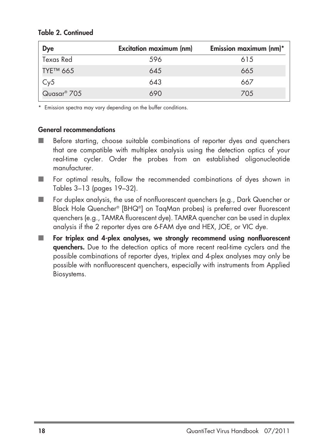| Dye         | <b>Excitation maximum (nm)</b> | Emission maximum (nm)* |
|-------------|--------------------------------|------------------------|
| Texas Red   | 596                            | 615                    |
| TYE™ 665    | 645                            | 665                    |
| Cy5         | 643                            | 667                    |
| Quasar® 705 | 690                            | 705                    |

#### **Table 2. Continued**

\* Emission spectra may vary depending on the buffer conditions.

#### **General recommendations**

- Before starting, choose suitable combinations of reporter dyes and quenchers that are compatible with multiplex analysis using the detection optics of your real-time cycler. Order the probes from an established oligonucleotide manufacturer.
- For optimal results, follow the recommended combinations of dyes shown in Tables 3–13 (pages 19–32).
- For duplex analysis, the use of nonfluorescent quenchers (e.g., Dark Quencher or Black Hole Quencher® [BHQ®] on TaqMan probes) is preferred over fluorescent quenchers (e.g., TAMRA fluorescent dye). TAMRA quencher can be used in duplex analysis if the 2 reporter dyes are 6-FAM dye and HEX, JOE, or VIC dye.
- For triplex and 4-plex analyses, we strongly recommend using nonfluorescent **quenchers.** Due to the detection optics of more recent real-time cyclers and the possible combinations of reporter dyes, triplex and 4-plex analyses may only be possible with nonfluorescent quenchers, especially with instruments from Applied Biosystems.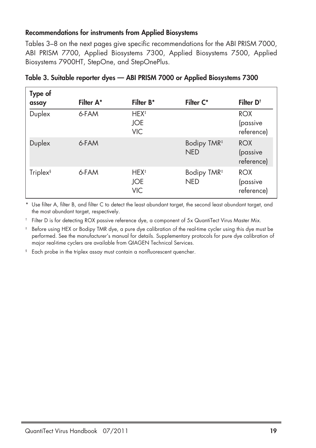#### **Recommendations for instruments from Applied Biosystems**

Tables 3–8 on the next pages give specific recommendations for the ABI PRISM 7000, ABI PRISM 7700, Applied Biosystems 7300, Applied Biosystems 7500, Applied Biosystems 7900HT, StepOne, and StepOnePlus.

| Type of<br>assay     | Filter A* | <b>Filter B*</b>                             | Filter C*                             | Filter D <sup>t</sup>                |
|----------------------|-----------|----------------------------------------------|---------------------------------------|--------------------------------------|
| Duplex               | 6-FAM     | HEX <sup>‡</sup><br><b>JOE</b><br><b>VIC</b> |                                       | <b>ROX</b><br>(passive<br>reference) |
| Duplex               | 6-FAM     |                                              | Bodipy TMR <sup>#</sup><br><b>NED</b> | <b>ROX</b><br>(passive<br>reference) |
| Triplex <sup>§</sup> | 6-FAM     | HEX <sup>‡</sup><br>JOE<br><b>VIC</b>        | Bodipy TMR <sup>#</sup><br><b>NED</b> | <b>ROX</b><br>(passive<br>reference) |

#### **Table 3. Suitable reporter dyes — ABI PRISM 7000 or Applied Biosystems 7300**

\* Use filter A, filter B, and filter C to detect the least abundant target, the second least abundant target, and the most abundant target, respectively.

† Filter D is for detecting ROX passive reference dye, a component of 5x QuantiTect Virus Master Mix.

Before using HEX or Bodipy TMR dye, a pure dye calibration of the real-time cycler using this dye must be performed. See the manufacturer's manual for details. Supplementary protocols for pure dye calibration of major real-time cyclers are available from QIAGEN Technical Services.

§ Each probe in the triplex assay must contain a nonfluorescent quencher.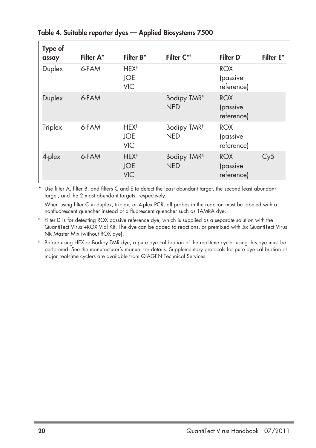| Type of<br>assay | Filter A* | Filter B*                                           | Filter C* <sup>+</sup>                | Filter D <sup>+</sup>                | <b>Filter E*</b> |
|------------------|-----------|-----------------------------------------------------|---------------------------------------|--------------------------------------|------------------|
| Duplex           | 6-FAM     | <b>HEX</b> <sup>§</sup><br><b>JOE</b><br><b>VIC</b> |                                       | <b>ROX</b><br>(passive<br>reference) |                  |
| Duplex           | 6-FAM     |                                                     | Bodipy TMR <sup>§</sup><br><b>NED</b> | <b>ROX</b><br>(passive<br>reference) |                  |
| Triplex          | 6-FAM     | <b>HEX<sup>§</sup></b><br><b>JOE</b><br><b>VIC</b>  | Bodipy TMR <sup>§</sup><br><b>NED</b> | <b>ROX</b><br>(passive<br>reference) |                  |
| 4-plex           | 6-FAM     | <b>HEX</b> <sup>§</sup><br><b>JOE</b><br><b>VIC</b> | Bodipy TMR <sup>§</sup><br><b>NED</b> | <b>ROX</b><br>(passive<br>reference) | Cy5              |

### **Table 4. Suitable reporter dyes — Applied Biosystems 7500**

\* Use filter A, filter B, and filters C and E to detect the least abundant target, the second least abundant target, and the 2 most abundant targets, respectively.

† When using filter C in duplex, triplex, or 4-plex PCR, all probes in the reaction must be labeled with a nonfluorescent quencher instead of a fluorescent quencher such as TAMRA dye.

- ‡ Filter D is for detecting ROX passive reference dye, which is supplied as a separate solution with the QuantiTect Virus +ROX Vial Kit. The dye can be added to reactions, or premixed with 5x QuantiTect Virus NR Master Mix (without ROX dye).
- § Before using HEX or Bodipy TMR dye, a pure dye calibration of the real-time cycler using this dye must be performed. See the manufacturer's manual for details. Supplementary protocols for pure dye calibration of major real-time cyclers are available from QIAGEN Technical Services.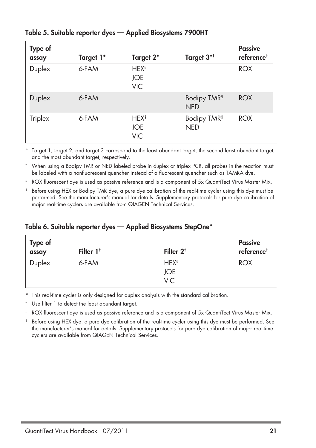| Type of<br>assay | Target 1* | Target 2*                                           | Target 3* <sup>†</sup>                | <b>Passive</b><br>reference <sup>#</sup> |
|------------------|-----------|-----------------------------------------------------|---------------------------------------|------------------------------------------|
| Duplex           | 6-FAM     | <b>HEX<sup>§</sup></b><br><b>JOE</b><br><b>VIC</b>  |                                       | <b>ROX</b>                               |
| Duplex           | 6-FAM     |                                                     | Bodipy TMR <sup>§</sup><br><b>NED</b> | <b>ROX</b>                               |
| Triplex          | 6-FAM     | <b>HEX</b> <sup>§</sup><br><b>JOE</b><br><b>VIC</b> | Bodipy TMR <sup>§</sup><br><b>NED</b> | <b>ROX</b>                               |

### **Table 5. Suitable reporter dyes — Applied Biosystems 7900HT**

\* Target 1, target 2, and target 3 correspond to the least abundant target, the second least abundant target, and the most abundant target, respectively.

† When using a Bodipy TMR or NED labeled probe in duplex or triplex PCR, all probes in the reaction must be labeled with a nonfluorescent quencher instead of a fluorescent quencher such as TAMRA dye.

ROX fluorescent dye is used as passive reference and is a component of 5x QuantiTect Virus Master Mix.

§ Before using HEX or Bodipy TMR dye, a pure dye calibration of the real-time cycler using this dye must be performed. See the manufacturer's manual for details. Supplementary protocols for pure dye calibration of major real-time cyclers are available from QIAGEN Technical Services.

| Type of<br>assay | Filter $1†$ | Filter $2†$                            | <b>Passive</b><br>reference <sup>#</sup> |
|------------------|-------------|----------------------------------------|------------------------------------------|
| Duplex           | 6-FAM       | <b>HEX<sup>§</sup></b><br>JOE.<br>VIC. | <b>ROX</b>                               |

### **Table 6. Suitable reporter dyes — Applied Biosystems StepOne\***

This real-time cycler is only designed for duplex analysis with the standard calibration.

Use filter 1 to detect the least abundant target.

ROX fluorescent dye is used as passive reference and is a component of 5x QuantiTect Virus Master Mix.

§ Before using HEX dye, a pure dye calibration of the real-time cycler using this dye must be performed. See the manufacturer's manual for details. Supplementary protocols for pure dye calibration of major real-time cyclers are available from QIAGEN Technical Services.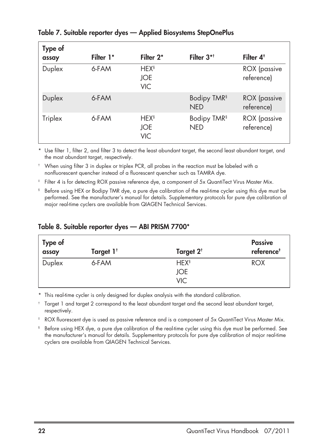| Type of |           |                                                    |                                       |                                   |
|---------|-----------|----------------------------------------------------|---------------------------------------|-----------------------------------|
| assay   | Filter 1* | Filter 2*                                          | Filter $3$ <sup>*†</sup>              | Filter $4^*$                      |
| Duplex  | 6-FAM     | <b>HEX<sup>§</sup></b><br>JOE<br><b>VIC</b>        |                                       | <b>ROX</b> (passive<br>reference) |
| Duplex  | 6-FAM     |                                                    | Bodipy TMR <sup>§</sup><br><b>NED</b> | <b>ROX</b> (passive<br>reference) |
| Triplex | 6-FAM     | <b>HEX<sup>§</sup></b><br><b>JOE</b><br><b>VIC</b> | Bodipy TMR <sup>§</sup><br><b>NED</b> | <b>ROX</b> (passive<br>reference) |

### **Table 7. Suitable reporter dyes — Applied Biosystems StepOnePlus**

\* Use filter 1, filter 2, and filter 3 to detect the least abundant target, the second least abundant target, and the most abundant target, respectively.

† When using filter 3 in duplex or triplex PCR, all probes in the reaction must be labeled with a nonfluorescent quencher instead of a fluorescent quencher such as TAMRA dye.

- ‡ Filter 4 is for detecting ROX passive reference dye, a component of 5x QuantiTect Virus Master Mix.
- § Before using HEX or Bodipy TMR dye, a pure dye calibration of the real-time cycler using this dye must be performed. See the manufacturer's manual for details. Supplementary protocols for pure dye calibration of major real-time cyclers are available from QIAGEN Technical Services.

| Type of<br>assay | Target 1 <sup>t</sup> | Target 2 <sup>t</sup>  | <b>Passive</b><br>reference <sup>+</sup> |
|------------------|-----------------------|------------------------|------------------------------------------|
| Duplex           | 6-FAM                 | <b>HEX<sup>§</sup></b> | <b>ROX</b>                               |
|                  |                       | JOE                    |                                          |
|                  |                       | <b>VIC</b>             |                                          |

#### **Table 8. Suitable reporter dyes — ABI PRISM 7700\***

\* This real-time cycler is only designed for duplex analysis with the standard calibration.

† Target 1 and target 2 correspond to the least abundant target and the second least abundant target, respectively.

‡ ROX fluorescent dye is used as passive reference and is a component of 5x QuantiTect Virus Master Mix.

§ Before using HEX dye, a pure dye calibration of the real-time cycler using this dye must be performed. See the manufacturer's manual for details. Supplementary protocols for pure dye calibration of major real-time cyclers are available from QIAGEN Technical Services.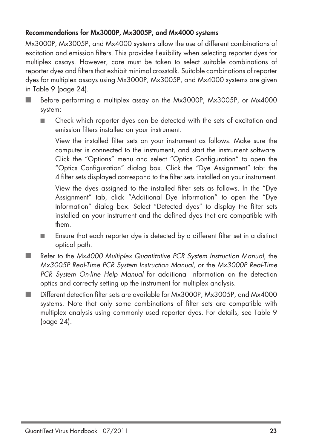### **Recommendations for Mx3000P, Mx3005P, and Mx4000 systems**

Mx3000P, Mx3005P, and Mx4000 systems allow the use of different combinations of excitation and emission filters. This provides flexibility when selecting reporter dyes for multiplex assays. However, care must be taken to select suitable combinations of reporter dyes and filters that exhibit minimal crosstalk. Suitable combinations of reporter dyes for multiplex assays using Mx3000P, Mx3005P, and Mx4000 systems are given in Table 9 (page 24).

- Before performing a multiplex assay on the Mx3000P, Mx3005P, or Mx4000 system:
	- Check which reporter dyes can be detected with the sets of excitation and emission filters installed on your instrument.

View the installed filter sets on your instrument as follows. Make sure the computer is connected to the instrument, and start the instrument software. Click the "Options" menu and select "Optics Configuration" to open the "Optics Configuration" dialog box. Click the "Dye Assignment" tab: the 4 filter sets displayed correspond to the filter sets installed on your instrument.

View the dyes assigned to the installed filter sets as follows. In the "Dye Assignment" tab, click "Additional Dye Information" to open the "Dye Information" dialog box. Select "Detected dyes" to display the filter sets installed on your instrument and the defined dyes that are compatible with them.

- Ensure that each reporter dye is detected by a different filter set in a distinct optical path.
- Refer to the Mx4000 Multiplex Quantitative PCR System Instruction Manual, the Mx3005P Real-Time PCR System Instruction Manual, or the Mx3000P Real-Time PCR System On-line Help Manual for additional information on the detection optics and correctly setting up the instrument for multiplex analysis.
- Different detection filter sets are available for Mx3000P, Mx3005P, and Mx4000 systems. Note that only some combinations of filter sets are compatible with multiplex analysis using commonly used reporter dyes. For details, see Table 9 (page 24).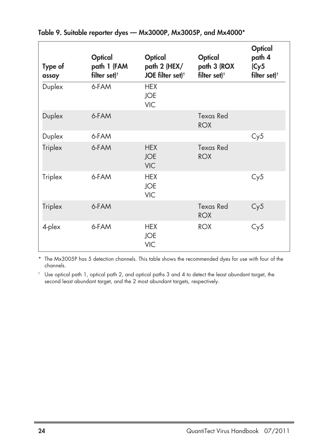| Type of<br>assay | <b>Optical</b><br>path 1 (FAM<br>filter set) <sup>†</sup> | Optical<br>path 2 (HEX/<br>JOE filter set) <sup>t</sup> | <b>Optical</b><br>path 3 (ROX<br>filter set) <sup>+</sup> | <b>Optical</b><br>path 4<br>(Cy5<br>filter set) <sup>†</sup> |
|------------------|-----------------------------------------------------------|---------------------------------------------------------|-----------------------------------------------------------|--------------------------------------------------------------|
| Duplex           | 6-FAM                                                     | <b>HEX</b><br><b>JOE</b><br><b>VIC</b>                  |                                                           |                                                              |
| Duplex           | 6-FAM                                                     |                                                         | <b>Texas Red</b><br><b>ROX</b>                            |                                                              |
| Duplex           | 6-FAM                                                     |                                                         |                                                           | Cy5                                                          |
| Triplex          | 6-FAM                                                     | <b>HEX</b><br><b>JOE</b><br><b>VIC</b>                  | Texas Red<br><b>ROX</b>                                   |                                                              |
| Triplex          | 6-FAM                                                     | <b>HEX</b><br><b>JOE</b><br><b>VIC</b>                  |                                                           | Cy5                                                          |
| Triplex          | 6-FAM                                                     |                                                         | <b>Texas Red</b><br><b>ROX</b>                            | Cy5                                                          |
| 4-plex           | 6-FAM                                                     | <b>HEX</b><br><b>JOE</b><br><b>VIC</b>                  | <b>ROX</b>                                                | Cy5                                                          |

**Table 9. Suitable reporter dyes — Mx3000P, Mx3005P, and Mx4000\***

\* The Mx3005P has 5 detection channels. This table shows the recommended dyes for use with four of the channels.

† Use optical path 1, optical path 2, and optical paths 3 and 4 to detect the least abundant target, the second least abundant target, and the 2 most abundant targets, respectively.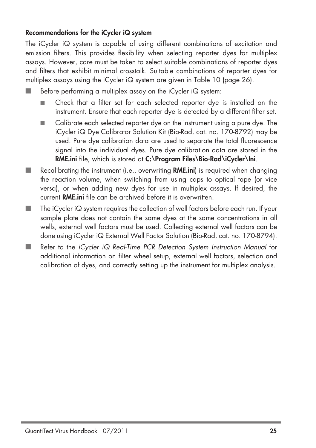### **Recommendations for the iCycler iQ system**

The iCycler iQ system is capable of using different combinations of excitation and emission filters. This provides flexibility when selecting reporter dyes for multiplex assays. However, care must be taken to select suitable combinations of reporter dyes and filters that exhibit minimal crosstalk. Suitable combinations of reporter dyes for multiplex assays using the iCycler iQ system are given in Table 10 (page 26).

Before performing a multiplex assay on the iCycler  $iQ$  system:

- Check that a filter set for each selected reporter dye is installed on the instrument. Ensure that each reporter dye is detected by a different filter set.
- Calibrate each selected reporter dye on the instrument using a pure dye. The iCycler iQ Dye Calibrator Solution Kit (Bio-Rad, cat. no. 170-8792) may be used. Pure dye calibration data are used to separate the total fluorescence signal into the individual dyes. Pure dye calibration data are stored in the **RME.ini** file, which is stored at **C:\Program Files\Bio-Rad\iCycler\Ini**.
- Recalibrating the instrument (i.e., overwriting **RME.ini**) is required when changing the reaction volume, when switching from using caps to optical tape (or vice versa), or when adding new dyes for use in multiplex assays. If desired, the current **RME.ini** file can be archived before it is overwritten.
- The iCycler iQ system requires the collection of well factors before each run. If your sample plate does not contain the same dyes at the same concentrations in all wells, external well factors must be used. Collecting external well factors can be done using iCycler iQ External Well Factor Solution (Bio-Rad, cat. no. 170-8794).
- Refer to the *iCycler iQ Real-Time PCR Detection System Instruction Manual* for additional information on filter wheel setup, external well factors, selection and calibration of dyes, and correctly setting up the instrument for multiplex analysis.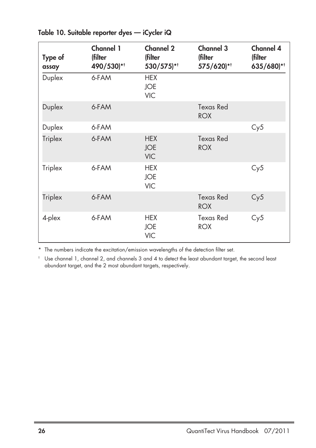| Type of<br>assay | Channel 1<br>(filter<br>490/530)** | Channel 2<br>(filter<br>530/575)**     | Channel 3<br>(filter<br>575/620)** | <b>Channel 4</b><br>(filter<br>635/680)** |
|------------------|------------------------------------|----------------------------------------|------------------------------------|-------------------------------------------|
| Duplex           | 6-FAM                              | <b>HEX</b><br><b>JOE</b><br><b>VIC</b> |                                    |                                           |
| Duplex           | 6-FAM                              |                                        | Texas Red<br><b>ROX</b>            |                                           |
| Duplex           | 6-FAM                              |                                        |                                    | Cy5                                       |
| Triplex          | 6-FAM                              | <b>HEX</b><br><b>JOE</b><br><b>VIC</b> | <b>Texas Red</b><br><b>ROX</b>     |                                           |
| Triplex          | 6-FAM                              | <b>HEX</b><br><b>JOE</b><br><b>VIC</b> |                                    | Cy5                                       |
| Triplex          | 6-FAM                              |                                        | Texas Red<br><b>ROX</b>            | Cy5                                       |
| 4-plex           | 6-FAM                              | <b>HEX</b><br><b>JOE</b><br><b>VIC</b> | Texas Red<br><b>ROX</b>            | Cy5                                       |

**Table 10. Suitable reporter dyes — iCycler iQ**

\* The numbers indicate the excitation/emission wavelengths of the detection filter set.

† Use channel 1, channel 2, and channels 3 and 4 to detect the least abundant target, the second least abundant target, and the 2 most abundant targets, respectively.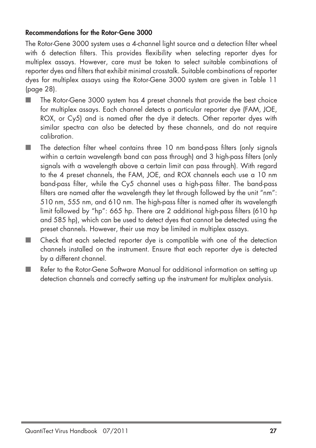#### **Recommendations for the Rotor-Gene 3000**

The Rotor-Gene 3000 system uses a 4-channel light source and a detection filter wheel with 6 detection filters. This provides flexibility when selecting reporter dyes for multiplex assays. However, care must be taken to select suitable combinations of reporter dyes and filters that exhibit minimal crosstalk. Suitable combinations of reporter dyes for multiplex assays using the Rotor-Gene 3000 system are given in Table 11 (page 28).

- The Rotor-Gene 3000 system has 4 preset channels that provide the best choice for multiplex assays. Each channel detects a particular reporter dye (FAM, JOE, ROX, or Cy5) and is named after the dye it detects. Other reporter dyes with similar spectra can also be detected by these channels, and do not require calibration.
- The detection filter wheel contains three 10 nm band-pass filters (only signals within a certain wavelength band can pass through) and 3 high-pass filters (only signals with a wavelength above a certain limit can pass through). With regard to the 4 preset channels, the FAM, JOE, and ROX channels each use a 10 nm band-pass filter, while the Cy5 channel uses a high-pass filter. The band-pass filters are named after the wavelength they let through followed by the unit "nm": 510 nm, 555 nm, and 610 nm. The high-pass filter is named after its wavelength limit followed by "hp": 665 hp. There are 2 additional high-pass filters (610 hp and 585 hp), which can be used to detect dyes that cannot be detected using the preset channels. However, their use may be limited in multiplex assays.
- Check that each selected reporter dye is compatible with one of the detection channels installed on the instrument. Ensure that each reporter dye is detected by a different channel.
- Refer to the Rotor-Gene Software Manual for additional information on setting up detection channels and correctly setting up the instrument for multiplex analysis.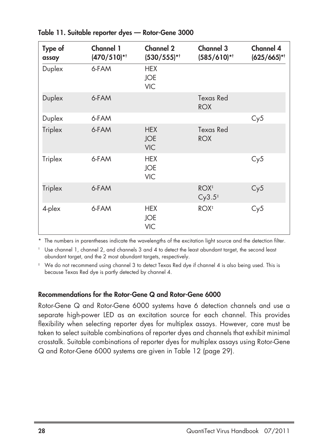| Type of<br>assay | <b>Channel 1</b><br>$(470/510)$ *† | <b>Channel 2</b><br>$(530/555)$ *†     | <b>Channel 3</b><br>$(585/610)$ *†     | <b>Channel 4</b><br>$(625/665)$ *† |
|------------------|------------------------------------|----------------------------------------|----------------------------------------|------------------------------------|
| Duplex           | 6-FAM                              | <b>HEX</b><br><b>JOE</b><br><b>VIC</b> |                                        |                                    |
| Duplex           | 6-FAM                              |                                        | Texas Red<br><b>ROX</b>                |                                    |
| Duplex           | 6-FAM                              |                                        |                                        | Cy5                                |
| Triplex          | 6-FAM                              | <b>HEX</b><br><b>JOE</b><br><b>VIC</b> | Texas Red<br><b>ROX</b>                |                                    |
| Triplex          | 6-FAM                              | <b>HEX</b><br><b>JOE</b><br><b>VIC</b> |                                        | Cy5                                |
| Triplex          | 6-FAM                              |                                        | $ROX^{\ddagger}$<br>Cy3.5 <sup>‡</sup> | Cy5                                |
| 4-plex           | 6-FAM                              | <b>HEX</b><br><b>JOE</b><br><b>VIC</b> | ROX <sup>+</sup>                       | Cy5                                |

**Table 11. Suitable reporter dyes — Rotor-Gene 3000**

\* The numbers in parentheses indicate the wavelengths of the excitation light source and the detection filter.

† Use channel 1, channel 2, and channels 3 and 4 to detect the least abundant target, the second least abundant target, and the 2 most abundant targets, respectively.

‡ We do not recommend using channel 3 to detect Texas Red dye if channel 4 is also being used. This is because Texas Red dye is partly detected by channel 4.

#### **Recommendations for the Rotor-Gene Q and Rotor-Gene 6000**

Rotor-Gene Q and Rotor-Gene 6000 systems have 6 detection channels and use a separate high-power LED as an excitation source for each channel. This provides flexibility when selecting reporter dyes for multiplex assays. However, care must be taken to select suitable combinations of reporter dyes and channels that exhibit minimal crosstalk. Suitable combinations of reporter dyes for multiplex assays using Rotor-Gene Q and Rotor-Gene 6000 systems are given in Table 12 (page 29).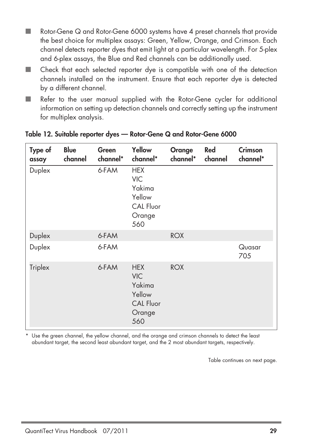- Rotor-Gene  $Q$  and Rotor-Gene 6000 systems have 4 preset channels that provide the best choice for multiplex assays: Green, Yellow, Orange, and Crimson. Each channel detects reporter dyes that emit light at a particular wavelength. For 5-plex and 6-plex assays, the Blue and Red channels can be additionally used.
- Check that each selected reporter dye is compatible with one of the detection channels installed on the instrument. Ensure that each reporter dye is detected by a different channel.
- Refer to the user manual supplied with the Rotor-Gene cycler for additional information on setting up detection channels and correctly setting up the instrument for multiplex analysis.

| Type of<br>assay | <b>Blue</b><br>channel | Green<br>channel* | Yellow<br>channel*                                                                | Orange<br>channel* | Red<br>channel | <b>Crimson</b><br>channel* |
|------------------|------------------------|-------------------|-----------------------------------------------------------------------------------|--------------------|----------------|----------------------------|
| Duplex           |                        | 6-FAM             | <b>HEX</b><br><b>VIC</b><br>Yakima<br>Yellow<br><b>CAL Fluor</b><br>Orange<br>560 |                    |                |                            |
| Duplex           |                        | 6-FAM             |                                                                                   | <b>ROX</b>         |                |                            |
| Duplex           |                        | 6-FAM             |                                                                                   |                    |                | Quasar<br>705              |
| Triplex          |                        | 6-FAM             | <b>HEX</b><br><b>VIC</b><br>Yakima<br>Yellow<br><b>CAL Fluor</b><br>Orange<br>560 | <b>ROX</b>         |                |                            |

#### **Table 12. Suitable reporter dyes — Rotor-Gene Q and Rotor-Gene 6000**

Use the green channel, the yellow channel, and the orange and crimson channels to detect the least abundant target, the second least abundant target, and the 2 most abundant targets, respectively.

Table continues on next page.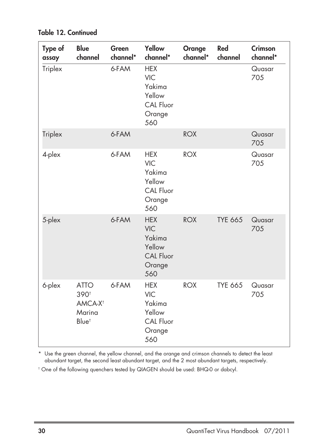| Type of<br>assay | <b>Blue</b><br>channel                                                    | Green<br>channel* | Yellow<br>channel*                                                                | Orange<br>channel* | Red<br>channel | <b>Crimson</b><br>channel* |
|------------------|---------------------------------------------------------------------------|-------------------|-----------------------------------------------------------------------------------|--------------------|----------------|----------------------------|
| Triplex          |                                                                           | 6-FAM             | <b>HEX</b><br><b>VIC</b><br>Yakima<br>Yellow<br>CAL Fluor<br>Orange<br>560        |                    |                | Quasar<br>705              |
| Triplex          |                                                                           | 6-FAM             |                                                                                   | <b>ROX</b>         |                | Quasar<br>705              |
| 4-plex           |                                                                           | 6-FAM             | <b>HEX</b><br><b>VIC</b><br>Yakima<br>Yellow<br>CAL Fluor<br>Orange<br>560        | <b>ROX</b>         |                | Quasar<br>705              |
| 5-plex           |                                                                           | 6-FAM             | <b>HEX</b><br><b>VIC</b><br>Yakima<br>Yellow<br><b>CAL Fluor</b><br>Orange<br>560 | <b>ROX</b>         | <b>TYE 665</b> | Quasar<br>705              |
| 6-plex           | <b>ATTO</b><br>390t<br>AMCA-X <sup>1</sup><br>Marina<br>Blue <sup>t</sup> | 6-FAM             | <b>HEX</b><br><b>VIC</b><br>Yakima<br>Yellow<br>CAL Fluor<br>Orange<br>560        | <b>ROX</b>         | <b>TYE 665</b> | Quasar<br>705              |

**Table 12. Continued**

\* Use the green channel, the yellow channel, and the orange and crimson channels to detect the least abundant target, the second least abundant target, and the 2 most abundant targets, respectively.

† One of the following quenchers tested by QIAGEN should be used: BHQ-0 or dabcyl.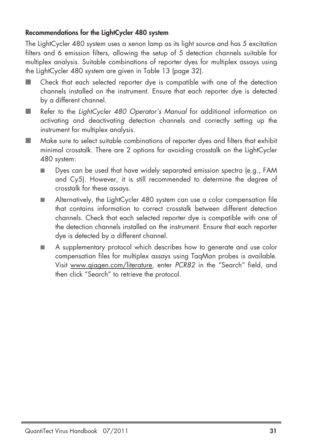### **Recommendations for the LightCycler 480 system**

The LightCycler 480 system uses a xenon lamp as its light source and has 5 excitation filters and 6 emission filters, allowing the setup of 5 detection channels suitable for multiplex analysis. Suitable combinations of reporter dyes for multiplex assays using the LightCycler 480 system are given in Table 13 (page 32).

- Check that each selected reporter dye is compatible with one of the detection channels installed on the instrument. Ensure that each reporter dye is detected by a different channel.
- Refer to the LightCycler 480 Operator's Manual for additional information on activating and deactivating detection channels and correctly setting up the instrument for multiplex analysis.
- Make sure to select suitable combinations of reporter dyes and filters that exhibit minimal crosstalk. There are 2 options for avoiding crosstalk on the LightCycler 480 system:
	- Dyes can be used that have widely separated emission spectra (e.g., FAM and Cy5). However, it is still recommended to determine the degree of crosstalk for these assays.
	- Alternatively, the LightCycler 480 system can use a color compensation file that contains information to correct crosstalk between different detection channels. Check that each selected reporter dye is compatible with one of the detection channels installed on the instrument. Ensure that each reporter dye is detected by a different channel.
	- A supplementary protocol which describes how to generate and use color compensation files for multiplex assays using TaqMan probes is available. Visit www.qiagen.com/literature, enter PCR82 in the "Search" field, and then click "Search" to retrieve the protocol.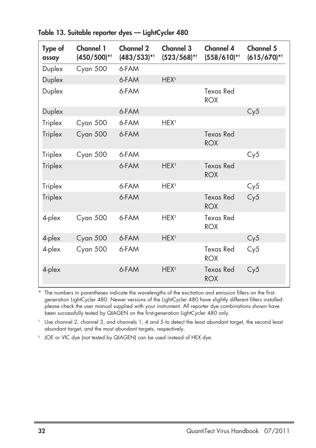| Type of<br>assay | Channel 1<br>$(450/500)$ *† | Channel 2<br>$(483/533)^{*+}$ | <b>Channel 3</b><br>$(523/568)$ *† | <b>Channel 4</b><br>$(558/610)$ *† | Channel 5<br>$(615/670)$ *† |
|------------------|-----------------------------|-------------------------------|------------------------------------|------------------------------------|-----------------------------|
| Duplex           | Cyan 500                    | 6-FAM                         |                                    |                                    |                             |
| Duplex           |                             | 6-FAM                         | HEX <sup>‡</sup>                   |                                    |                             |
| Duplex           |                             | 6-FAM                         |                                    | Texas Red<br><b>ROX</b>            |                             |
| Duplex           |                             | 6-FAM                         |                                    |                                    | Cy5                         |
| Triplex          | Cyan 500                    | 6-FAM                         | HEX <sup>‡</sup>                   |                                    |                             |
| Triplex          | Cyan 500                    | 6-FAM                         |                                    | Texas Red<br><b>ROX</b>            |                             |
| Triplex          | Cyan 500                    | 6-FAM                         |                                    |                                    | Cy5                         |
| Triplex          |                             | 6-FAM                         | HEX <sup>‡</sup>                   | Texas Red<br><b>ROX</b>            |                             |
| Triplex          |                             | 6-FAM                         | HEX <sup>‡</sup>                   |                                    | Cy5                         |
| Triplex          |                             | 6-FAM                         |                                    | <b>Texas Red</b><br><b>ROX</b>     | Cy5                         |
| 4-plex           | Cyan 500                    | 6-FAM                         | HEX <sup>‡</sup>                   | Texas Red<br><b>ROX</b>            |                             |
| 4-plex           | Cyan 500                    | 6-FAM                         | HEX <sup>‡</sup>                   |                                    | Cy5                         |
| 4-plex           | Cyan 500                    | 6-FAM                         |                                    | <b>Texas Red</b><br><b>ROX</b>     | Cy5                         |
| 4-plex           |                             | 6-FAM                         | HEX <sup>‡</sup>                   | <b>Texas Red</b><br><b>ROX</b>     | Cy5                         |

**Table 13. Suitable reporter dyes — LightCycler 480**

\* The numbers in parentheses indicate the wavelengths of the excitation and emission filters on the firstgeneration LightCycler 480. Newer versions of the LightCycler 480 have slightly different filters installed: please check the user manual supplied with your instrument. All reporter dye combinations shown have been successfully tested by QIAGEN on the first-generation LightCycler 480 only.

† Use channel 2, channel 3, and channels 1, 4 and 5 to detect the least abundant target, the second least abundant target, and the most abundant targets, respectively.

‡ JOE or VIC dye (not tested by QIAGEN) can be used instead of HEX dye.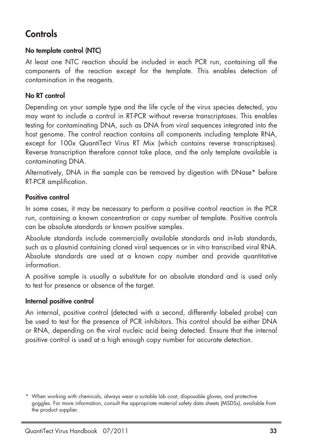### **Controls**

### **No template control (NTC)**

At least one NTC reaction should be included in each PCR run, containing all the components of the reaction except for the template. This enables detection of contamination in the reagents.

### **No RT control**

Depending on your sample type and the life cycle of the virus species detected, you may want to include a control in RT-PCR without reverse transcriptases. This enables testing for contaminating DNA, such as DNA from viral sequences integrated into the host genome. The control reaction contains all components including template RNA, except for 100x QuantiTect Virus RT Mix (which contains reverse transcriptases). Reverse transcription therefore cannot take place, and the only template available is contaminating DNA.

Alternatively, DNA in the sample can be removed by digestion with DNase\* before RT-PCR amplification.

### **Positive control**

In some cases, it may be necessary to perform a positive control reaction in the PCR run, containing a known concentration or copy number of template. Positive controls can be absolute standards or known positive samples.

Absolute standards include commercially available standards and in-lab standards, such as a plasmid containing cloned viral sequences or in vitro transcribed viral RNA. Absolute standards are used at a known copy number and provide quantitative information.

A positive sample is usually a substitute for an absolute standard and is used only to test for presence or absence of the target.

#### **Internal positive control**

An internal, positive control (detected with a second, differently labeled probe) can be used to test for the presence of PCR inhibitors. This control should be either DNA or RNA, depending on the viral nucleic acid being detected. Ensure that the internal positive control is used at a high enough copy number for accurate detection.

<sup>\*</sup> When working with chemicals, always wear a suitable lab coat, disposable gloves, and protective goggles. For more information, consult the appropriate material safety data sheets (MSDSs), available from the product supplier.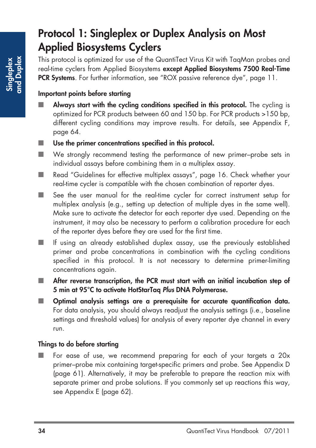## **Protocol 1: Singleplex or Duplex Analysis on Most Applied Biosystems Cyclers**

This protocol is optimized for use of the QuantiTect Virus Kit with TaqMan probes and real-time cyclers from Applied Biosystems **except Applied Biosystems 7500 Real-Time PCR Systems**. For further information, see "ROX passive reference dye", page 11.

### **Important points before starting**

- **Always start with the cycling conditions specified in this protocol.** The cycling is optimized for PCR products between 60 and 150 bp. For PCR products >150 bp, different cycling conditions may improve results. For details, see Appendix F, page 64.
- Use the primer concentrations specified in this protocol.
- We strongly recommend testing the performance of new primer–probe sets in individual assays before combining them in a multiplex assay.
- Read "Guidelines for effective multiplex assays", page 16. Check whether your real-time cycler is compatible with the chosen combination of reporter dyes.
- See the user manual for the real-time cycler for correct instrument setup for multiplex analysis (e.g., setting up detection of multiple dyes in the same well). Make sure to activate the detector for each reporter dye used. Depending on the instrument, it may also be necessary to perform a calibration procedure for each of the reporter dyes before they are used for the first time.
- If using an already established duplex assay, use the previously established primer and probe concentrations in combination with the cycling conditions specified in this protocol. It is not necessary to determine primer-limiting concentrations again.
- After reverse transcription, the PCR must start with an initial incubation step of **5 min at 95°C to activate HotStarTaq Plus DNA Polymerase.**
- **Optimal analysis settings are a prerequisite for accurate quantification data.** For data analysis, you should always readjust the analysis settings (i.e., baseline settings and threshold values) for analysis of every reporter dye channel in every run.

### **Things to do before starting**

For ease of use, we recommend preparing for each of your targets a 20x primer–probe mix containing target-specific primers and probe. See Appendix D (page 61). Alternatively, it may be preferable to prepare the reaction mix with separate primer and probe solutions. If you commonly set up reactions this way, see Appendix E (page 62).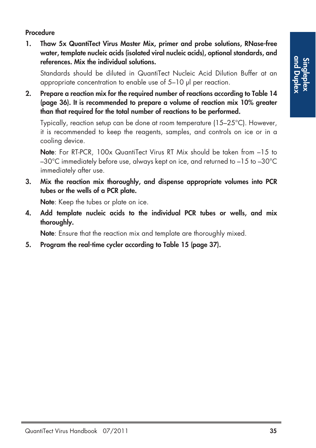### **Procedure**

**1. Thaw 5x QuantiTect Virus Master Mix, primer and probe solutions, RNase-free water, template nucleic acids (isolated viral nucleic acids), optional standards, and references. Mix the individual solutions.** 

Standards should be diluted in QuantiTect Nucleic Acid Dilution Buffer at an appropriate concentration to enable use of 5–10 µl per reaction.

**2. Prepare a reaction mix for the required number of reactions according to Table 14 (page 36). It is recommended to prepare a volume of reaction mix 10% greater than that required for the total number of reactions to be performed.** 

Typically, reaction setup can be done at room temperature (15–25°C). However, it is recommended to keep the reagents, samples, and controls on ice or in a cooling device.

**Note**: For RT-PCR, 100x QuantiTect Virus RT Mix should be taken from –15 to –30°C immediately before use, always kept on ice, and returned to –15 to –30°C immediately after use.

**3. Mix the reaction mix thoroughly, and dispense appropriate volumes into PCR tubes or the wells of a PCR plate.**

**Note**: Keep the tubes or plate on ice.

**4. Add template nucleic acids to the individual PCR tubes or wells, and mix thoroughly.**

**Note**: Ensure that the reaction mix and template are thoroughly mixed.

**5. Program the real-time cycler according to Table 15 (page 37).**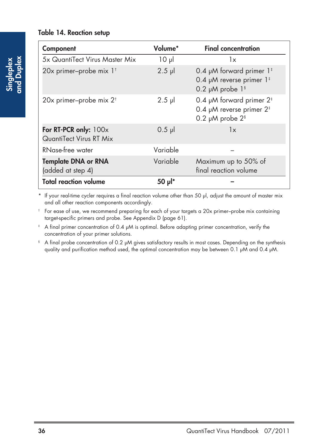#### **Table 14. Reaction setup**

| Component                                        | Volume*     | <b>Final concentration</b>                                                                                                 |
|--------------------------------------------------|-------------|----------------------------------------------------------------------------------------------------------------------------|
| 5x QuantiTect Virus Master Mix                   | $10 \mu$    | 1x                                                                                                                         |
| 20x primer-probe mix 1 <sup>t</sup>              | $2.5$ pl    | 0.4 $\mu$ M forward primer 1 <sup>#</sup><br>0.4 $\mu$ M reverse primer 1 <sup>#</sup><br>0.2 $\mu$ M probe 1 <sup>§</sup> |
| 20x primer-probe mix $2^{\dagger}$               | $2.5$ $\mu$ | 0.4 $\mu$ M forward primer 2 <sup>‡</sup><br>0.4 µM reverse primer $2^{\text{t}}$<br>0.2 $\mu$ M probe 2 <sup>§</sup>      |
| For RT-PCR only: 100x<br>QuantiTect Virus RT Mix | $0.5$ pl    | 1x                                                                                                                         |
| RNase-free water                                 | Variable    |                                                                                                                            |
| <b>Template DNA or RNA</b><br>(added at step 4)  | Variable    | Maximum up to 50% of<br>final reaction volume                                                                              |
| <b>Total reaction volume</b>                     | 50 pl*      |                                                                                                                            |

\* If your real-time cycler requires a final reaction volume other than 50 µl, adjust the amount of master mix and all other reaction components accordingly.

† For ease of use, we recommend preparing for each of your targets a 20x primer–probe mix containing target-specific primers and probe. See Appendix D (page 61).

<sup>#</sup> A final primer concentration of 0.4 µM is optimal. Before adapting primer concentration, verify the concentration of your primer solutions.

§ A final probe concentration of 0.2 µM gives satisfactory results in most cases. Depending on the synthesis quality and purification method used, the optimal concentration may be between 0.1 µM and 0.4 µM.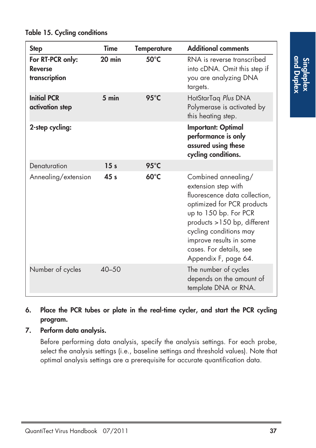| <b>Step</b>                                         | <b>Time</b>     | <b>Temperature</b> | <b>Additional comments</b>                                                                                                                                                                                                                                                |
|-----------------------------------------------------|-----------------|--------------------|---------------------------------------------------------------------------------------------------------------------------------------------------------------------------------------------------------------------------------------------------------------------------|
| For RT-PCR only:<br><b>Reverse</b><br>transcription | $20$ min        | $50^{\circ}$ C     | RNA is reverse transcribed<br>into cDNA. Omit this step if<br>you are analyzing DNA<br>targets.                                                                                                                                                                           |
| <b>Initial PCR</b><br>activation step               | $5 \text{ min}$ | $95^{\circ}$ C     | HotStarTag Plus DNA<br>Polymerase is activated by<br>this heating step.                                                                                                                                                                                                   |
| 2-step cycling:                                     |                 |                    | <b>Important: Optimal</b><br>performance is only<br>assured using these<br>cycling conditions.                                                                                                                                                                            |
| Denaturation                                        | 15 <sub>s</sub> | 95°C               |                                                                                                                                                                                                                                                                           |
| Annealing/extension                                 | 45 <sub>s</sub> | $60^{\circ}$ C     | Combined annealing/<br>extension step with<br>fluorescence data collection,<br>optimized for PCR products<br>up to 150 bp. For PCR<br>products >150 bp, different<br>cycling conditions may<br>improve results in some<br>cases. For details, see<br>Appendix F, page 64. |
| Number of cycles                                    | $40 - 50$       |                    | The number of cycles<br>depends on the amount of<br>template DNA or RNA.                                                                                                                                                                                                  |

### **Table 15. Cycling conditions**

- **6. Place the PCR tubes or plate in the real-time cycler, and start the PCR cycling program.**
- **7. Perform data analysis.**

Before performing data analysis, specify the analysis settings. For each probe, select the analysis settings (i.e., baseline settings and threshold values). Note that optimal analysis settings are a prerequisite for accurate quantification data.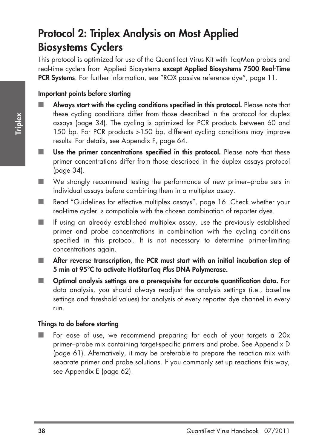## **Protocol 2: Triplex Analysis on Most Applied Biosystems Cyclers**

This protocol is optimized for use of the QuantiTect Virus Kit with TaqMan probes and real-time cyclers from Applied Biosystems **except Applied Biosystems 7500 Real-Time PCR Systems**. For further information, see "ROX passive reference dye", page 11.

#### **Important points before starting**

- Always start with the cycling conditions specified in this protocol. Please note that these cycling conditions differ from those described in the protocol for duplex assays (page 34). The cycling is optimized for PCR products between 60 and 150 bp. For PCR products >150 bp, different cycling conditions may improve results. For details, see Appendix F, page 64.
- Use the primer concentrations specified in this protocol. Please note that these primer concentrations differ from those described in the duplex assays protocol (page 34).
- We strongly recommend testing the performance of new primer–probe sets in individual assays before combining them in a multiplex assay.
- Read "Guidelines for effective multiplex assays", page 16. Check whether your real-time cycler is compatible with the chosen combination of reporter dyes.
- If using an already established multiplex assay, use the previously established primer and probe concentrations in combination with the cycling conditions specified in this protocol. It is not necessary to determine primer-limiting concentrations again.
- After reverse transcription, the PCR must start with an initial incubation step of **5 min at 95°C to activate HotStarTaq Plus DNA Polymerase.**
- **Optimal analysis settings are a prerequisite for accurate quantification data.** For data analysis, you should always readjust the analysis settings (i.e., baseline settings and threshold values) for analysis of every reporter dye channel in every run.

#### **Things to do before starting**

■ For ease of use, we recommend preparing for each of your targets a 20x primer–probe mix containing target-specific primers and probe. See Appendix D (page 61). Alternatively, it may be preferable to prepare the reaction mix with separate primer and probe solutions. If you commonly set up reactions this way, see Appendix E (page 62).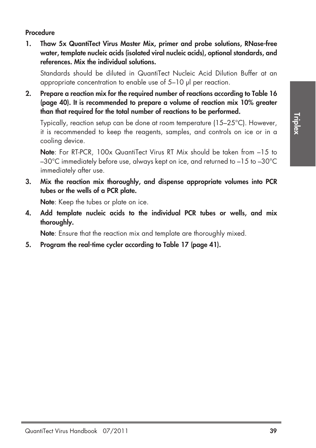#### **Procedure**

**1. Thaw 5x QuantiTect Virus Master Mix, primer and probe solutions, RNase-free water, template nucleic acids (isolated viral nucleic acids), optional standards, and references. Mix the individual solutions.**

Standards should be diluted in QuantiTect Nucleic Acid Dilution Buffer at an appropriate concentration to enable use of 5–10 µl per reaction.

**2. Prepare a reaction mix for the required number of reactions according to Table 16 (page 40). It is recommended to prepare a volume of reaction mix 10% greater than that required for the total number of reactions to be performed.**

Typically, reaction setup can be done at room temperature (15–25°C). However, it is recommended to keep the reagents, samples, and controls on ice or in a cooling device.

**Note**: For RT-PCR, 100x QuantiTect Virus RT Mix should be taken from –15 to –30°C immediately before use, always kept on ice, and returned to –15 to –30°C immediately after use.

**3. Mix the reaction mix thoroughly, and dispense appropriate volumes into PCR tubes or the wells of a PCR plate.**

**Note**: Keep the tubes or plate on ice.

**4. Add template nucleic acids to the individual PCR tubes or wells, and mix thoroughly.**

**Note**: Ensure that the reaction mix and template are thoroughly mixed.

**5. Program the real-time cycler according to Table 17 (page 41).**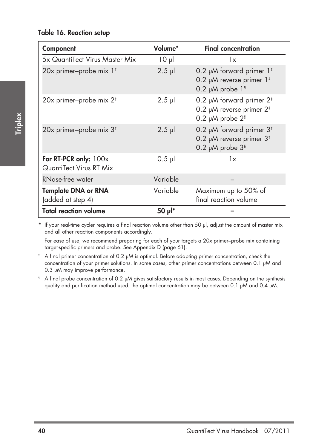#### **Table 16. Reaction setup**

| Component                                        | Volume*  | <b>Final concentration</b>                                                                                               |
|--------------------------------------------------|----------|--------------------------------------------------------------------------------------------------------------------------|
| 5x QuantiTect Virus Master Mix                   | $10 \mu$ | 1x                                                                                                                       |
| 20x primer-probe mix 1 <sup>t</sup>              | $2.5$ pl | 0.2 µM forward primer 1 <sup>#</sup><br>0.2 µM reverse primer $1^{\frac{1}{2}}$<br>0.2 $\mu$ M probe 1 <sup>§</sup>      |
| 20x primer-probe mix 2 <sup>t</sup>              | $2.5$ pl | 0.2 $\mu$ M forward primer 2 <sup>‡</sup><br>0.2 µM reverse primer $2^{\frac{1}{2}}$<br>0.2 $\mu$ M probe 2 <sup>§</sup> |
| 20x primer-probe mix 3 <sup>t</sup>              | $2.5$ pl | 0.2 µM forward primer $3‡$<br>0.2 µM reverse primer $3^{\text{+}}$<br>0.2 $\mu$ M probe $3§$                             |
| For RT-PCR only: 100x<br>QuantiTect Virus RT Mix | $0.5$ pl | 1x                                                                                                                       |
| RNase-free water                                 | Variable |                                                                                                                          |
| <b>Template DNA or RNA</b><br>(added at step 4)  | Variable | Maximum up to 50% of<br>final reaction volume                                                                            |
| <b>Total reaction volume</b>                     | 50 pl*   |                                                                                                                          |

\* If your real-time cycler requires a final reaction volume other than 50 µl, adjust the amount of master mix and all other reaction components accordingly.

† For ease of use, we recommend preparing for each of your targets a 20x primer–probe mix containing target-specific primers and probe. See Appendix D (page 61).

‡ A final primer concentration of 0.2 µM is optimal. Before adapting primer concentration, check the concentration of your primer solutions. In some cases, other primer concentrations between 0.1 µM and 0.3 µM may improve performance.

§ A final probe concentration of 0.2 µM gives satisfactory results in most cases. Depending on the synthesis quality and purification method used, the optimal concentration may be between 0.1 µM and 0.4 µM.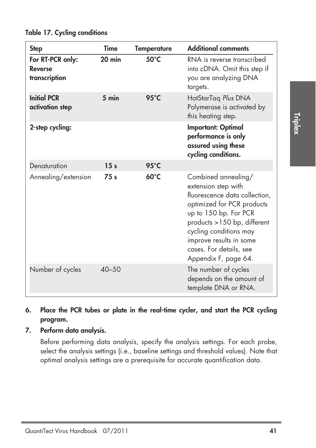| <b>Step</b>                                         | <b>Time</b>     | <b>Temperature</b> | <b>Additional comments</b>                                                                                                                                                                                                                                                |
|-----------------------------------------------------|-----------------|--------------------|---------------------------------------------------------------------------------------------------------------------------------------------------------------------------------------------------------------------------------------------------------------------------|
| For RT-PCR only:<br><b>Reverse</b><br>transcription | $20$ min        | $50^{\circ}$ C     | RNA is reverse transcribed<br>into cDNA. Omit this step if<br>you are analyzing DNA<br>targets.                                                                                                                                                                           |
| <b>Initial PCR</b><br>activation step               | $5 \text{ min}$ | $95^{\circ}$ C     | HotStarTaq Plus DNA<br>Polymerase is activated by<br>this heating step.                                                                                                                                                                                                   |
| 2-step cycling:                                     |                 |                    | <b>Important: Optimal</b><br>performance is only<br>assured using these<br>cycling conditions.                                                                                                                                                                            |
| Denaturation                                        | 15 <sub>s</sub> | $95^{\circ}$ C     |                                                                                                                                                                                                                                                                           |
| Annealing/extension                                 | 75 s            | $60^{\circ}$ C     | Combined annealing/<br>extension step with<br>fluorescence data collection,<br>optimized for PCR products<br>up to 150 bp. For PCR<br>products >150 bp, different<br>cycling conditions may<br>improve results in some<br>cases. For details, see<br>Appendix F, page 64. |
| Number of cycles                                    | $40 - 50$       |                    | The number of cycles<br>depends on the amount of<br>template DNA or RNA.                                                                                                                                                                                                  |

**Table 17. Cycling conditions**

- **6. Place the PCR tubes or plate in the real-time cycler, and start the PCR cycling program.**
- **7. Perform data analysis.**

Before performing data analysis, specify the analysis settings. For each probe, select the analysis settings (i.e., baseline settings and threshold values). Note that optimal analysis settings are a prerequisite for accurate quantification data.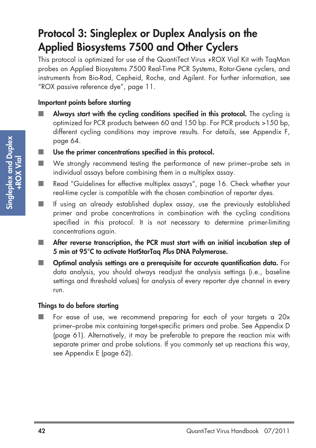### **Protocol 3: Singleplex or Duplex Analysis on the Applied Biosystems 7500 and Other Cyclers**

This protocol is optimized for use of the QuantiTect Virus +ROX Vial Kit with TaqMan probes on Applied Biosystems 7500 Real-Time PCR Systems, Rotor-Gene cyclers, and instruments from Bio-Rad, Cepheid, Roche, and Agilent. For further information, see "ROX passive reference dye", page 11.

#### **Important points before starting**

- **Always start with the cycling conditions specified in this protocol.** The cycling is optimized for PCR products between 60 and 150 bp. For PCR products >150 bp, different cycling conditions may improve results. For details, see Appendix F, page 64.
- Use the primer concentrations specified in this protocol.
- We strongly recommend testing the performance of new primer–probe sets in individual assays before combining them in a multiplex assay.
- Read "Guidelines for effective multiplex assays", page 16. Check whether your real-time cycler is compatible with the chosen combination of reporter dyes.
- If using an already established duplex assay, use the previously established primer and probe concentrations in combination with the cycling conditions specified in this protocol. It is not necessary to determine primer-limiting concentrations again.
- After reverse transcription, the PCR must start with an initial incubation step of **5 min at 95°C to activate HotStarTaq Plus DNA Polymerase.**
- **Optimal analysis settings are a prerequisite for accurate quantification data.** For data analysis, you should always readjust the analysis settings (i.e., baseline settings and threshold values) for analysis of every reporter dye channel in every run.

#### **Things to do before starting**

■ For ease of use, we recommend preparing for each of your targets a 20x primer–probe mix containing target-specific primers and probe. See Appendix D (page 61). Alternatively, it may be preferable to prepare the reaction mix with separate primer and probe solutions. If you commonly set up reactions this way, see Appendix E (page 62).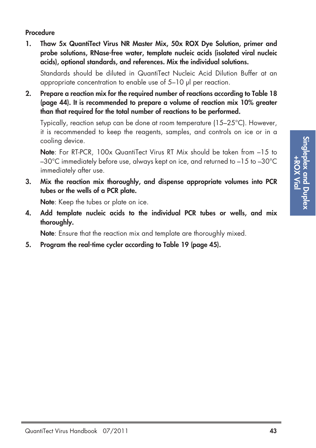#### **Procedure**

**1. Thaw 5x QuantiTect Virus NR Master Mix, 50x ROX Dye Solution, primer and probe solutions, RNase-free water, template nucleic acids (isolated viral nucleic acids), optional standards, and references. Mix the individual solutions.** 

Standards should be diluted in QuantiTect Nucleic Acid Dilution Buffer at an appropriate concentration to enable use of 5–10 µl per reaction.

**2. Prepare a reaction mix for the required number of reactions according to Table 18 (page 44). It is recommended to prepare a volume of reaction mix 10% greater than that required for the total number of reactions to be performed.**

Typically, reaction setup can be done at room temperature (15–25°C). However, it is recommended to keep the reagents, samples, and controls on ice or in a cooling device.

**Note**: For RT-PCR, 100x QuantiTect Virus RT Mix should be taken from –15 to –30°C immediately before use, always kept on ice, and returned to –15 to –30°C immediately after use.

**3. Mix the reaction mix thoroughly, and dispense appropriate volumes into PCR tubes or the wells of a PCR plate.**

**Note**: Keep the tubes or plate on ice.

**4. Add template nucleic acids to the individual PCR tubes or wells, and mix thoroughly.**

**Note**: Ensure that the reaction mix and template are thoroughly mixed.

**5. Program the real-time cycler according to Table 19 (page 45).**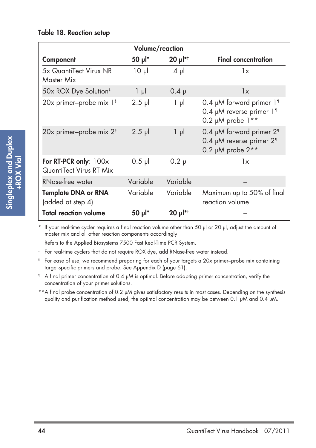#### **Table 18. Reaction setup**

| Volume/reaction                                  |                         |                        |                                                                                                         |
|--------------------------------------------------|-------------------------|------------------------|---------------------------------------------------------------------------------------------------------|
| Component                                        | $50$ $\mu$ <sup>*</sup> | $20 \mu$ <sup>*†</sup> | <b>Final concentration</b>                                                                              |
| 5x QuantiTect Virus NR<br>Master Mix             | $10 \mu$                | 4 μl                   | 1x                                                                                                      |
| 50x ROX Dye Solution <sup>‡</sup>                | $1 \mu$                 | $0.4$ pl               | 1x                                                                                                      |
| 20x primer-probe mix 1 <sup>§</sup>              | $2.5$ pl                | $1 \mu$                | 0.4 µM forward primer 11<br>0.4 µM reverse primer 11<br>0.2 $\mu$ M probe $1**$                         |
| 20x primer-probe mix 2 <sup>§</sup>              | $2.5$ $\mu$             | 1 µl                   | 0.4 µM forward primer 2 <sup>1</sup><br>0.4 µM reverse primer 2 <sup>1</sup><br>0.2 $\mu$ M probe $2**$ |
| For RT-PCR only: 100x<br>QuantiTect Virus RT Mix | $0.5$ pl                | $0.2$ pl               | 1x                                                                                                      |
| RNase-free water                                 | Variable                | Variable               |                                                                                                         |
| <b>Template DNA or RNA</b><br>(added at step 4)  | Variable                | Variable               | Maximum up to 50% of final<br>reaction volume                                                           |
| <b>Total reaction volume</b>                     | 50 pl*                  | $20 \mu$ <sup>*†</sup> |                                                                                                         |

\* If your real-time cycler requires a final reaction volume other than 50 µl or 20 µl, adjust the amount of master mix and all other reaction components accordingly.

† Refers to the Applied Biosystems 7500 Fast Real-Time PCR System.

‡ For real-time cyclers that do not require ROX dye, add RNase-free water instead.

§ For ease of use, we recommend preparing for each of your targets a 20x primer–probe mix containing target-specific primers and probe. See Appendix D (page 61).

¶ A final primer concentration of 0.4 µM is optimal. Before adapting primer concentration, verify the concentration of your primer solutions.

\*\*A final probe concentration of 0.2 µM gives satisfactory results in most cases. Depending on the synthesis quality and purification method used, the optimal concentration may be between 0.1 µM and 0.4 µM.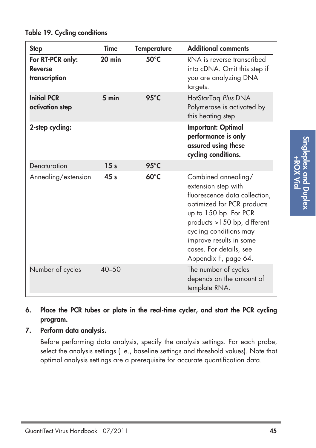| <b>Step</b>                                         | <b>Time</b>     | <b>Temperature</b> | <b>Additional comments</b>                                                                                                                                                                                                                                                |
|-----------------------------------------------------|-----------------|--------------------|---------------------------------------------------------------------------------------------------------------------------------------------------------------------------------------------------------------------------------------------------------------------------|
| For RT-PCR only:<br><b>Reverse</b><br>transcription | $20$ min        | $50^{\circ}$ C     | RNA is reverse transcribed<br>into cDNA. Omit this step if<br>you are analyzing DNA<br>targets.                                                                                                                                                                           |
| <b>Initial PCR</b><br>activation step               | $5 \text{ min}$ | $95^{\circ}$ C     | HotStarTaq Plus DNA<br>Polymerase is activated by<br>this heating step.                                                                                                                                                                                                   |
| 2-step cycling:                                     |                 |                    | <b>Important: Optimal</b><br>performance is only<br>assured using these<br>cycling conditions.                                                                                                                                                                            |
| Denaturation                                        | 15 <sub>s</sub> | $95^{\circ}$ C     |                                                                                                                                                                                                                                                                           |
| Annealing/extension                                 | 45 <sub>s</sub> | $60^{\circ}$ C     | Combined annealing/<br>extension step with<br>fluorescence data collection,<br>optimized for PCR products<br>up to 150 bp. For PCR<br>products >150 bp, different<br>cycling conditions may<br>improve results in some<br>cases. For details, see<br>Appendix F, page 64. |
| Number of cycles                                    | $40 - 50$       |                    | The number of cycles<br>depends on the amount of<br>template RNA.                                                                                                                                                                                                         |

**Table 19. Cycling conditions**

- **6. Place the PCR tubes or plate in the real-time cycler, and start the PCR cycling program.**
- **7. Perform data analysis.**

Before performing data analysis, specify the analysis settings. For each probe, select the analysis settings (i.e., baseline settings and threshold values). Note that optimal analysis settings are a prerequisite for accurate quantification data.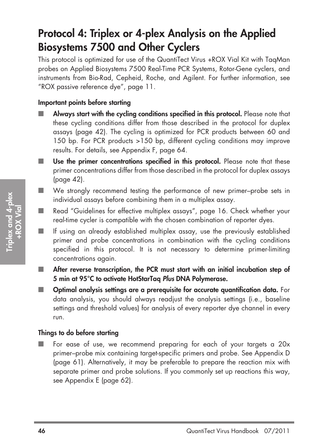## **Protocol 4: Triplex or 4-plex Analysis on the Applied Biosystems 7500 and Other Cyclers**

This protocol is optimized for use of the QuantiTect Virus +ROX Vial Kit with TaqMan probes on Applied Biosystems 7500 Real-Time PCR Systems, Rotor-Gene cyclers, and instruments from Bio-Rad, Cepheid, Roche, and Agilent. For further information, see "ROX passive reference dye", page 11.

#### **Important points before starting**

- Always start with the cycling conditions specified in this protocol. Please note that these cycling conditions differ from those described in the protocol for duplex assays (page 42). The cycling is optimized for PCR products between 60 and 150 bp. For PCR products >150 bp, different cycling conditions may improve results. For details, see Appendix F, page 64.
- Use the primer concentrations specified in this protocol. Please note that these primer concentrations differ from those described in the protocol for duplex assays (page 42).
- We strongly recommend testing the performance of new primer–probe sets in individual assays before combining them in a multiplex assay.
- Read "Guidelines for effective multiplex assays", page 16. Check whether your real-time cycler is compatible with the chosen combination of reporter dyes.
- If using an already established multiplex assay, use the previously established primer and probe concentrations in combination with the cycling conditions specified in this protocol. It is not necessary to determine primer-limiting concentrations again.
- After reverse transcription, the PCR must start with an initial incubation step of **5 min at 95°C to activate HotStarTaq Plus DNA Polymerase.**
- **Optimal analysis settings are a prerequisite for accurate quantification data.** For data analysis, you should always readjust the analysis settings (i.e., baseline settings and threshold values) for analysis of every reporter dye channel in every run.

#### **Things to do before starting**

■ For ease of use, we recommend preparing for each of your targets a 20x primer–probe mix containing target-specific primers and probe. See Appendix D (page 61). Alternatively, it may be preferable to prepare the reaction mix with separate primer and probe solutions. If you commonly set up reactions this way, see Appendix E (page 62).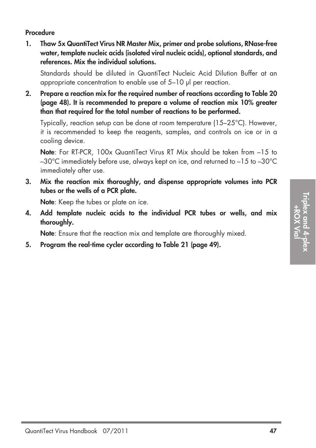#### **Procedure**

**1. Thaw 5x QuantiTect Virus NR Master Mix, primer and probe solutions, RNase-free water, template nucleic acids (isolated viral nucleic acids), optional standards, and references. Mix the individual solutions.**

Standards should be diluted in QuantiTect Nucleic Acid Dilution Buffer at an appropriate concentration to enable use of 5–10 µl per reaction.

**2. Prepare a reaction mix for the required number of reactions according to Table 20 (page 48). It is recommended to prepare a volume of reaction mix 10% greater than that required for the total number of reactions to be performed.**

Typically, reaction setup can be done at room temperature (15–25°C). However, it is recommended to keep the reagents, samples, and controls on ice or in a cooling device.

**Note**: For RT-PCR, 100x QuantiTect Virus RT Mix should be taken from –15 to –30°C immediately before use, always kept on ice, and returned to –15 to –30°C immediately after use.

**3. Mix the reaction mix thoroughly, and dispense appropriate volumes into PCR tubes or the wells of a PCR plate.**

**Note**: Keep the tubes or plate on ice.

**4. Add template nucleic acids to the individual PCR tubes or wells, and mix thoroughly.**

**Note**: Ensure that the reaction mix and template are thoroughly mixed.

**5. Program the real-time cycler according to Table 21 (page 49).**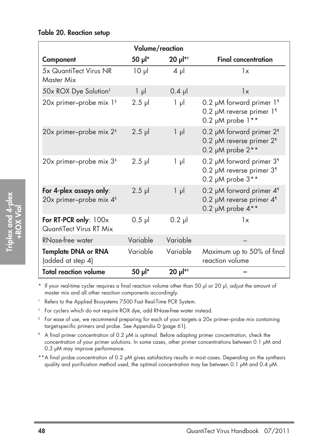#### **Table 20. Reaction setup**

|                                                                | Volume/reaction |          |                                                                                                         |
|----------------------------------------------------------------|-----------------|----------|---------------------------------------------------------------------------------------------------------|
| Component                                                      | 50 µl*          | 20 µl*†  | <b>Final concentration</b>                                                                              |
| 5x QuantiTect Virus NR<br>Master Mix                           | $10 \mu$        | $4 \mu$  | 1x                                                                                                      |
| 50x ROX Dye Solution <sup>‡</sup>                              | $1 \mu$         | $0.4$ pl | 1x                                                                                                      |
| 20x primer-probe mix 1 <sup>§</sup>                            | $2.5$ pl        | $1 \mu$  | 0.2 µM forward primer 11<br>0.2 µM reverse primer 11<br>$0.2 \mu M$ probe $1**$                         |
| 20x primer-probe mix 2 <sup>§</sup>                            | $2.5$ $\mu$     | $1 \mu$  | 0.2 µM forward primer 2 <sup>1</sup><br>0.2 µM reverse primer 2 <sup>1</sup><br>0.2 $\mu$ M probe $2**$ |
| 20x primer-probe mix 3 <sup>§</sup>                            | $2.5$ pl        | $1 \mu$  | 0.2 µM forward primer 3 <sup>1</sup><br>0.2 µM reverse primer 3 <sup>1</sup><br>0.2 $\mu$ M probe $3**$ |
| For 4-plex assays only:<br>20x primer-probe mix 4 <sup>§</sup> | $2.5$ pl        | $1 \mu$  | 0.2 µM forward primer 4 <sup>1</sup><br>0.2 µM reverse primer 4 <sup>1</sup><br>0.2 µM probe 4**        |
| For RT-PCR only: 100x<br>QuantiTect Virus RT Mix               | $0.5$ pl        | $0.2$ pl | 1x                                                                                                      |
| RNase-free water                                               | Variable        | Variable |                                                                                                         |
| <b>Template DNA or RNA</b><br>(added at step 4)                | Variable        | Variable | Maximum up to 50% of final<br>reaction volume                                                           |
| <b>Total reaction volume</b>                                   | 50 µl*          | 20 µl*†  |                                                                                                         |

\* If your real-time cycler requires a final reaction volume other than 50 µl or 20 µl, adjust the amount of master mix and all other reaction components accordingly.

† Refers to the Applied Biosystems 7500 Fast Real-Time PCR System.

‡ For cyclers which do not require ROX dye, add RNase-free water instead.

§ For ease of use, we recommend preparing for each of your targets a 20x primer–probe mix containing target-specific primers and probe. See Appendix D (page 61).

¶ A final primer concentration of 0.2 µM is optimal. Before adapting primer concentration, check the concentration of your primer solutions. In some cases, other primer concentrations between 0.1 µM and 0.3 µM may improve performance.

\*\*A final probe concentration of 0.2 µM gives satisfactory results in most cases. Depending on the synthesis quality and purification method used, the optimal concentration may be between 0.1 µM and 0.4 µM.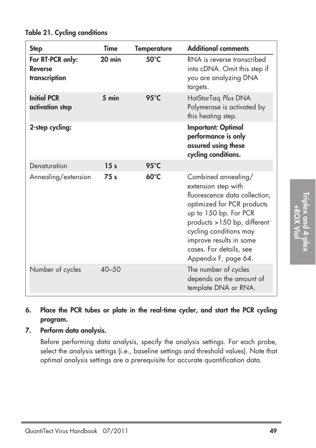| <b>Step</b>                                         | Time            | <b>Temperature</b> | <b>Additional comments</b>                                                                                                                                                                                                                                                |
|-----------------------------------------------------|-----------------|--------------------|---------------------------------------------------------------------------------------------------------------------------------------------------------------------------------------------------------------------------------------------------------------------------|
| For RT-PCR only:<br><b>Reverse</b><br>transcription | $20$ min        | $50^{\circ}$ C     | RNA is reverse transcribed<br>into cDNA. Omit this step if<br>you are analyzing DNA<br>targets.                                                                                                                                                                           |
| <b>Initial PCR</b><br>activation step               | $5 \text{ min}$ | $95^{\circ}$ C     | HotStarTag Plus DNA<br>Polymerase is activated by<br>this heating step.                                                                                                                                                                                                   |
| 2-step cycling:                                     |                 |                    | <b>Important: Optimal</b><br>performance is only<br>assured using these<br>cycling conditions.                                                                                                                                                                            |
| Denaturation                                        | 15 <sub>s</sub> | $95^{\circ}$ C     |                                                                                                                                                                                                                                                                           |
| Annealing/extension                                 | 75 <sub>s</sub> | $60^{\circ}$ C     | Combined annealing/<br>extension step with<br>fluorescence data collection,<br>optimized for PCR products<br>up to 150 bp. For PCR<br>products >150 bp, different<br>cycling conditions may<br>improve results in some<br>cases. For details, see<br>Appendix F, page 64. |
| Number of cycles                                    | $40 - 50$       |                    | The number of cycles<br>depends on the amount of<br>template DNA or RNA.                                                                                                                                                                                                  |

### **Table 21. Cycling conditions**

- **6. Place the PCR tubes or plate in the real-time cycler, and start the PCR cycling program.**
- **7. Perform data analysis.**

Before performing data analysis, specify the analysis settings. For each probe, select the analysis settings (i.e., baseline settings and threshold values). Note that optimal analysis settings are a prerequisite for accurate quantification data.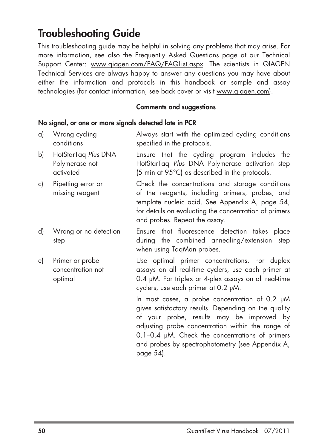### **Troubleshooting Guide**

This troubleshooting guide may be helpful in solving any problems that may arise. For more information, see also the Frequently Asked Questions page at our Technical Support Center: www.qiagen.com/FAQ/FAQList.aspx. The scientists in QIAGEN Technical Services are always happy to answer any questions you may have about either the information and protocols in this handbook or sample and assay technologies (for contact information, see back cover or visit www.qiagen.com).

#### **Comments and suggestions**

| a) | Wrong cycling<br>conditions                        | Always start with the optimized cycling conditions<br>specified in the protocols.                                                                                                                                                                                                                                              |
|----|----------------------------------------------------|--------------------------------------------------------------------------------------------------------------------------------------------------------------------------------------------------------------------------------------------------------------------------------------------------------------------------------|
| b) | HotStarTaq Plus DNA<br>Polymerase not<br>activated | Ensure that the cycling program includes the<br>HotStarTaq Plus DNA Polymerase activation step<br>(5 min at 95°C) as described in the protocols.                                                                                                                                                                               |
| c) | Pipetting error or<br>missing reagent              | Check the concentrations and storage conditions<br>of the reagents, including primers, probes, and<br>template nucleic acid. See Appendix A, page 54,<br>for details on evaluating the concentration of primers<br>and probes. Repeat the assay.                                                                               |
| d) | Wrong or no detection<br>step                      | Ensure that fluorescence detection takes place<br>during the combined annealing/extension step<br>when using TaqMan probes.                                                                                                                                                                                                    |
| e) | Primer or probe<br>concentration not<br>optimal    | Use optimal primer concentrations. For duplex<br>assays on all real-time cyclers, use each primer at<br>0.4 µM. For triplex or 4-plex assays on all real-time<br>cyclers, use each primer at 0.2 µM.                                                                                                                           |
|    |                                                    | In most cases, a probe concentration of 0.2 µM<br>gives satisfactory results. Depending on the quality<br>of your probe, results may be improved by<br>adjusting probe concentration within the range of<br>$0.1-0.4$ µM. Check the concentrations of primers<br>and probes by spectrophotometry (see Appendix A,<br>page 54). |

**No signal, or one or more signals detected late in PCR**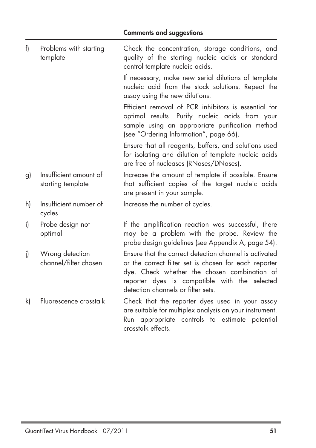| f) | Problems with starting<br>template          | Check the concentration, storage conditions, and<br>quality of the starting nucleic acids or standard<br>control template nucleic acids.                                                                                                               |
|----|---------------------------------------------|--------------------------------------------------------------------------------------------------------------------------------------------------------------------------------------------------------------------------------------------------------|
|    |                                             | If necessary, make new serial dilutions of template<br>nucleic acid from the stock solutions. Repeat the<br>assay using the new dilutions.                                                                                                             |
|    |                                             | Efficient removal of PCR inhibitors is essential for<br>optimal results. Purify nucleic acids from your<br>sample using an appropriate purification method<br>(see "Ordering Information", page 66).                                                   |
|    |                                             | Ensure that all reagents, buffers, and solutions used<br>for isolating and dilution of template nucleic acids<br>are free of nucleases (RNases/DNases).                                                                                                |
| g) | Insufficient amount of<br>starting template | Increase the amount of template if possible. Ensure<br>that sufficient copies of the target nucleic acids<br>are present in your sample.                                                                                                               |
| h) | Insufficient number of<br>cycles            | Increase the number of cycles.                                                                                                                                                                                                                         |
| i) | Probe design not<br>optimal                 | If the amplification reaction was successful, there<br>may be a problem with the probe. Review the<br>probe design guidelines (see Appendix A, page 54).                                                                                               |
| i) | Wrong detection<br>channel/filter chosen    | Ensure that the correct detection channel is activated<br>or the correct filter set is chosen for each reporter<br>dye. Check whether the chosen combination of<br>reporter dyes is compatible with the selected<br>detection channels or filter sets. |
| k) | Fluorescence crosstalk                      | Check that the reporter dyes used in your assay<br>are suitable for multiplex analysis on your instrument.<br>Run appropriate controls to estimate potential<br>crosstalk effects.                                                                     |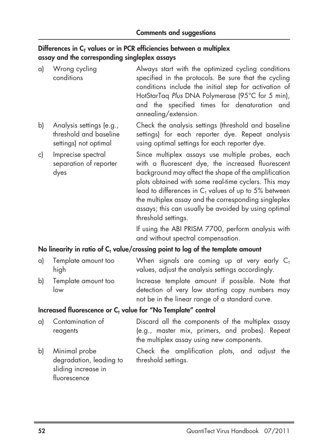#### Differences in C<sub>T</sub> values or in PCR efficiencies between a multiplex **assay and the corresponding singleplex assays**

| a) | Wrong cycling<br>conditions                                                 | Always start with the optimized cycling conditions<br>specified in the protocols. Be sure that the cycling<br>conditions include the initial step for activation of<br>HotStarTaq Plus DNA Polymerase (95°C for 5 min),<br>and the specified times for denaturation and<br>annealing/extension.                                                                                                                        |
|----|-----------------------------------------------------------------------------|------------------------------------------------------------------------------------------------------------------------------------------------------------------------------------------------------------------------------------------------------------------------------------------------------------------------------------------------------------------------------------------------------------------------|
| b) | Analysis settings (e.g.,<br>threshold and baseline<br>settings) not optimal | Check the analysis settings (threshold and baseline<br>settings) for each reporter dye. Repeat analysis<br>using optimal settings for each reporter dye.                                                                                                                                                                                                                                                               |
| c) | Imprecise spectral<br>separation of reporter<br>dyes                        | Since multiplex assays use multiple probes, each<br>with a fluorescent dye, the increased fluorescent<br>background may affect the shape of the amplification<br>plots obtained with some real-time cyclers. This may<br>lead to differences in $CT$ values of up to 5% between<br>the multiplex assay and the corresponding singleplex<br>assays; this can usually be avoided by using optimal<br>threshold settings. |
|    |                                                                             | If using the ARI PRISM 7700 perform analysis with                                                                                                                                                                                                                                                                                                                                                                      |

If using the ABI PRISM 7700, perform analysis with and without spectral compensation.

#### No linearity in ratio of C<sub>T</sub> value/crossing point to log of the template amount

| a) Template amount too | When signals are coming up at very early $C_{T}$  |
|------------------------|---------------------------------------------------|
| hiah                   | values, adjust the analysis settings accordingly. |
| b) Template amount too | Increase template amount if possible. Note that   |
| low                    | detection of very low starting copy numbers may   |
|                        | not be in the linear range of a standard curve.   |

#### **Increased fluorescence or C<sub>T</sub> value for "No Template" control**

| al Contamination of | Discard all the components of the multiplex assay |
|---------------------|---------------------------------------------------|
| reagents            | (e.g., master mix, primers, and probes). Repeat   |
|                     | the multiplex assay using new components.         |

degradation, leading to threshold settings. sliding increase in fluorescence

b) Minimal probe Check the amplification plots, and adjust the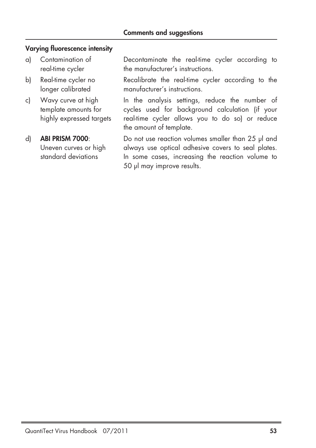#### **Varying fluorescence intensity**

- 
- 
- 

a) Contamination of Decontaminate the real-time cycler according to real-time cycler the manufacturer's instructions.

b) Real-time cycler no Recalibrate the real-time cycler according to the longer calibrated manufacturer's instructions.

c) Wavy curve at high In the analysis settings, reduce the number of template amounts for cycles used for background calculation (if your highly expressed targets real-time cycler allows you to do so) or reduce the amount of template.

d) **ABI PRISM 7000**: Do not use reaction volumes smaller than 25 µl and Uneven curves or high always use optical adhesive covers to seal plates. standard deviations **In some cases, increasing the reaction volume to** 50 µl may improve results.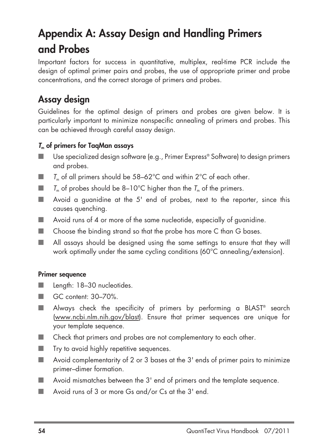# **Appendix A: Assay Design and Handling Primers and Probes**

Important factors for success in quantitative, multiplex, real-time PCR include the design of optimal primer pairs and probes, the use of appropriate primer and probe concentrations, and the correct storage of primers and probes.

### **Assay design**

Guidelines for the optimal design of primers and probes are given below. It is particularly important to minimize nonspecific annealing of primers and probes. This can be achieved through careful assay design.

### **<sup>T</sup><sup>m</sup> of primers for TaqMan assays**

- Use specialized design software (e.g., Primer Express® Software) to design primers and probes.
- $\blacksquare$  T<sub>n</sub> of all primers should be 58–62°C and within 2°C of each other.
- $\blacksquare$  T<sub>m</sub> of probes should be 8–10°C higher than the T<sub>m</sub> of the primers.
- Avoid a quanidine at the 5' end of probes, next to the reporter, since this causes quenching.
- Avoid runs of 4 or more of the same nucleotide, especially of quanidine.
- Choose the binding strand so that the probe has more C than G bases.
- All assays should be designed using the same settings to ensure that they will work optimally under the same cycling conditions (60°C annealing/extension).

#### **Primer sequence**

- **Length: 18-30 nucleotides.**
- GC content: 30–70%.
- Always check the specificity of primers by performing a BLAST<sup>®</sup> search (www.ncbi.nlm.nih.gov/blast). Ensure that primer sequences are unique for your template sequence.
- Check that primers and probes are not complementary to each other.
- Try to avoid highly repetitive sequences.
- Avoid complementarity of 2 or 3 bases at the 3' ends of primer pairs to minimize primer–dimer formation.
- Avoid mismatches between the 3' end of primers and the template sequence.
- Avoid runs of 3 or more Gs and/or Cs at the 3' end.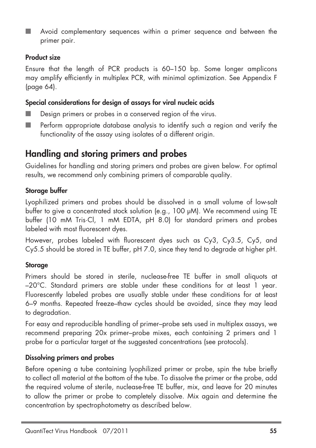Avoid complementary sequences within a primer sequence and between the primer pair.

#### **Product size**

Ensure that the length of PCR products is 60–150 bp. Some longer amplicons may amplify efficiently in multiplex PCR, with minimal optimization. See Appendix F (page 64).

#### **Special considerations for design of assays for viral nucleic acids**

- Design primers or probes in a conserved region of the virus.
- Perform appropriate database analysis to identify such a region and verify the functionality of the assay using isolates of a different origin.

### **Handling and storing primers and probes**

Guidelines for handling and storing primers and probes are given below. For optimal results, we recommend only combining primers of comparable quality.

### **Storage buffer**

Lyophilized primers and probes should be dissolved in a small volume of low-salt buffer to give a concentrated stock solution (e.g., 100 µM). We recommend using TE buffer (10 mM Tris·Cl, 1 mM EDTA, pH 8.0) for standard primers and probes labeled with most fluorescent dyes.

However, probes labeled with fluorescent dyes such as Cy3, Cy3.5, Cy5, and Cy5.5 should be stored in TE buffer, pH 7.0, since they tend to degrade at higher pH.

### **Storage**

Primers should be stored in sterile, nuclease-free TE buffer in small aliquots at –20°C. Standard primers are stable under these conditions for at least 1 year. Fluorescently labeled probes are usually stable under these conditions for at least 6–9 months. Repeated freeze–thaw cycles should be avoided, since they may lead to degradation.

For easy and reproducible handling of primer–probe sets used in multiplex assays, we recommend preparing 20x primer–probe mixes, each containing 2 primers and 1 probe for a particular target at the suggested concentrations (see protocols).

#### **Dissolving primers and probes**

Before opening a tube containing lyophilized primer or probe, spin the tube briefly to collect all material at the bottom of the tube. To dissolve the primer or the probe, add the required volume of sterile, nuclease-free TE buffer, mix, and leave for 20 minutes to allow the primer or probe to completely dissolve. Mix again and determine the concentration by spectrophotometry as described below.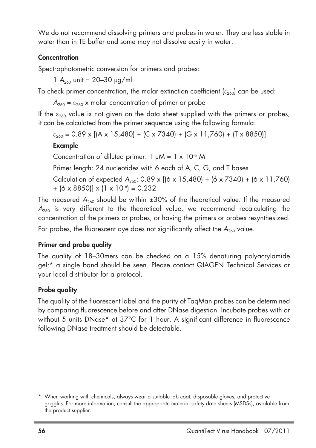We do not recommend dissolving primers and probes in water. They are less stable in water than in TE buffer and some may not dissolve easily in water.

#### **Concentration**

Spectrophotometric conversion for primers and probes:

 $1 A_{260}$  unit = 20–30  $\mu$ g/ml

To check primer concentration, the molar extinction coefficient ( $\epsilon_{260}$ ) can be used:

 $A_{260} = \varepsilon_{260}$  x molar concentration of primer or probe

If the  $\varepsilon_{260}$  value is not given on the data sheet supplied with the primers or probes, it can be calculated from the primer sequence using the following formula:

 $\varepsilon_{260}$  = 0.89 x [(A x 15,480) + (C x 7340) + (G x 11,760) + (T x 8850)]

### **Example**

Concentration of diluted primer:  $1 \mu M = 1 \times 10^{-6} M$ 

Primer length: 24 nucleotides with 6 each of A, C, G, and T bases

Calculation of expected  $A_{260}$ : 0.89 x [(6 x 15,480) + (6 x 7340) + (6 x 11,760)  $+$  (6 x 8850)] x (1 x 10<sup>-6</sup>) = 0.232

The measured  $A_{260}$  should be within  $\pm 30\%$  of the theoretical value. If the measured  $A_{260}$  is very different to the theoretical value, we recommend recalculating the concentration of the primers or probes, or having the primers or probes resynthesized.

For probes, the fluorescent dye does not significantly affect the  $A_{260}$  value.

### **Primer and probe quality**

The quality of 18–30mers can be checked on a 15% denaturing polyacrylamide gel;\* a single band should be seen. Please contact QIAGEN Technical Services or your local distributor for a protocol.

### **Probe quality**

The quality of the fluorescent label and the purity of TaqMan probes can be determined by comparing fluorescence before and after DNase digestion. Incubate probes with or without 5 units DNase\* at 37°C for 1 hour. A significant difference in fluorescence following DNase treatment should be detectable.

<sup>\*</sup> When working with chemicals, always wear a suitable lab coat, disposable gloves, and protective goggles. For more information, consult the appropriate material safety data sheets (MSDSs), available from the product supplier.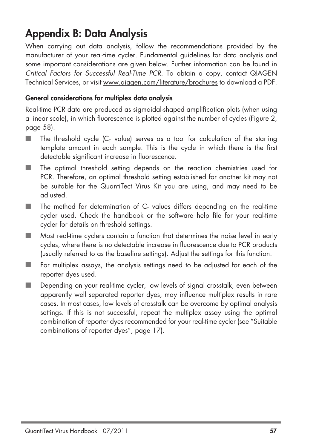### **Appendix B: Data Analysis**

When carrying out data analysis, follow the recommendations provided by the manufacturer of your real-time cycler. Fundamental guidelines for data analysis and some important considerations are given below. Further information can be found in Critical Factors for Successful Real-Time PCR. To obtain a copy, contact QIAGEN Technical Services, or visit www.qiagen.com/literature/brochures to download a PDF.

### **General considerations for multiplex data analysis**

Real-time PCR data are produced as sigmoidal-shaped amplification plots (when using a linear scale), in which fluorescence is plotted against the number of cycles (Figure 2, page 58).

- $\blacksquare$  The threshold cycle  $(C_T$  value) serves as a tool for calculation of the starting template amount in each sample. This is the cycle in which there is the first detectable significant increase in fluorescence.
- The optimal threshold setting depends on the reaction chemistries used for PCR. Therefore, an optimal threshold setting established for another kit may not be suitable for the QuantiTect Virus Kit you are using, and may need to be adjusted.
- $\blacksquare$  The method for determination of  $C<sub>T</sub>$  values differs depending on the real-time cycler used. Check the handbook or the software help file for your real-time cycler for details on threshold settings.
- Most real-time cyclers contain a function that determines the noise level in early cycles, where there is no detectable increase in fluorescence due to PCR products (usually referred to as the baseline settings). Adjust the settings for this function.
- For multiplex assays, the analysis settings need to be adjusted for each of the reporter dyes used.
- Depending on your real-time cycler, low levels of signal crosstalk, even between apparently well separated reporter dyes, may influence multiplex results in rare cases. In most cases, low levels of crosstalk can be overcome by optimal analysis settings. If this is not successful, repeat the multiplex assay using the optimal combination of reporter dyes recommended for your real-time cycler (see "Suitable combinations of reporter dyes", page 17).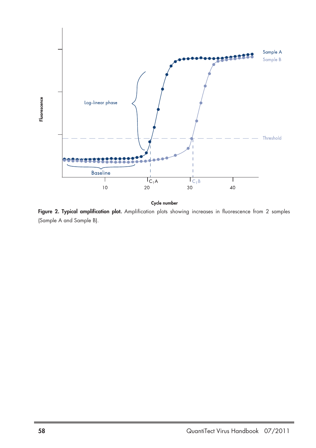

Cycle number

Figure 2. Typical amplification plot. Amplification plots showing increases in fluorescence from 2 samples (Sample A and Sample B).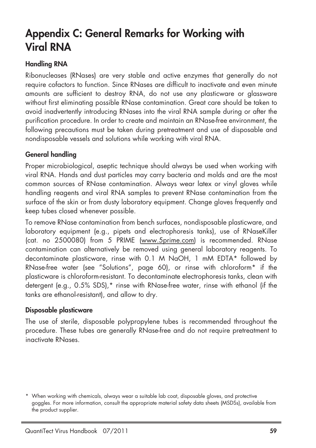## **Appendix C: General Remarks for Working with Viral RNA**

#### **Handling RNA**

Ribonucleases (RNases) are very stable and active enzymes that generally do not require cofactors to function. Since RNases are difficult to inactivate and even minute amounts are sufficient to destroy RNA, do not use any plasticware or glassware without first eliminating possible RNase contamination. Great care should be taken to avoid inadvertently introducing RNases into the viral RNA sample during or after the purification procedure. In order to create and maintain an RNase-free environment, the following precautions must be taken during pretreatment and use of disposable and nondisposable vessels and solutions while working with viral RNA.

#### **General handling**

Proper microbiological, aseptic technique should always be used when working with viral RNA. Hands and dust particles may carry bacteria and molds and are the most common sources of RNase contamination. Always wear latex or vinyl gloves while handling reagents and viral RNA samples to prevent RNase contamination from the surface of the skin or from dusty laboratory equipment. Change gloves frequently and keep tubes closed whenever possible.

To remove RNase contamination from bench surfaces, nondisposable plasticware, and laboratory equipment (e.g., pipets and electrophoresis tanks), use of RNaseKiller (cat. no 2500080) from 5 PRIME (www.5prime.com) is recommended. RNase contamination can alternatively be removed using general laboratory reagents. To decontaminate plasticware, rinse with 0.1 M NaOH, 1 mM EDTA\* followed by RNase-free water (see "Solutions", page 60), or rinse with chloroform\* if the plasticware is chloroform-resistant. To decontaminate electrophoresis tanks, clean with detergent (e.g., 0.5% SDS),\* rinse with RNase-free water, rinse with ethanol (if the tanks are ethanol-resistant), and allow to dry.

#### **Disposable plasticware**

The use of sterile, disposable polypropylene tubes is recommended throughout the procedure. These tubes are generally RNase-free and do not require pretreatment to inactivate RNases.

<sup>\*</sup> When working with chemicals, always wear a suitable lab coat, disposable gloves, and protective goggles. For more information, consult the appropriate material safety data sheets (MSDSs), available from the product supplier.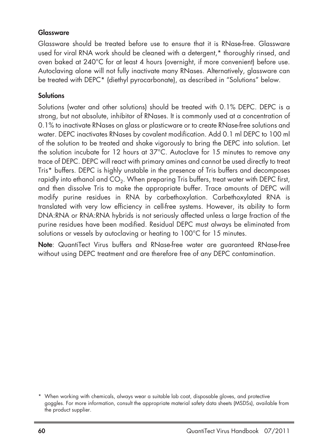#### **Glassware**

Glassware should be treated before use to ensure that it is RNase-free. Glassware used for viral RNA work should be cleaned with a detergent,\* thoroughly rinsed, and oven baked at 240°C for at least 4 hours (overnight, if more convenient) before use. Autoclaving alone will not fully inactivate many RNases. Alternatively, glassware can be treated with DEPC\* (diethyl pyrocarbonate), as described in "Solutions" below.

#### **Solutions**

Solutions (water and other solutions) should be treated with 0.1% DEPC. DEPC is a strong, but not absolute, inhibitor of RNases. It is commonly used at a concentration of 0.1% to inactivate RNases on glass or plasticware or to create RNase-free solutions and water. DEPC inactivates RNases by covalent modification. Add 0.1 ml DEPC to 100 ml of the solution to be treated and shake vigorously to bring the DEPC into solution. Let the solution incubate for 12 hours at 37°C. Autoclave for 15 minutes to remove any trace of DEPC. DEPC will react with primary amines and cannot be used directly to treat Tris\* buffers. DEPC is highly unstable in the presence of Tris buffers and decomposes rapidly into ethanol and CO<sub>2</sub>. When preparing Tris buffers, treat water with DEPC first, and then dissolve Tris to make the appropriate buffer. Trace amounts of DEPC will modify purine residues in RNA by carbethoxylation. Carbethoxylated RNA is translated with very low efficiency in cell-free systems. However, its ability to form DNA:RNA or RNA:RNA hybrids is not seriously affected unless a large fraction of the purine residues have been modified. Residual DEPC must always be eliminated from solutions or vessels by autoclaving or heating to 100°C for 15 minutes.

**Note**: QuantiTect Virus buffers and RNase-free water are guaranteed RNase-free without using DEPC treatment and are therefore free of any DEPC contamination.

<sup>\*</sup> When working with chemicals, always wear a suitable lab coat, disposable gloves, and protective goggles. For more information, consult the appropriate material safety data sheets (MSDSs), available from the product supplier.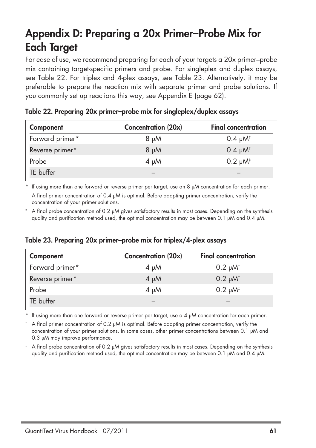## **Appendix D: Preparing a 20x Primer–Probe Mix for Each Target**

For ease of use, we recommend preparing for each of your targets a 20x primer–probe mix containing target-specific primers and probe. For singleplex and duplex assays, see Table 22. For triplex and 4-plex assays, see Table 23. Alternatively, it may be preferable to prepare the reaction mix with separate primer and probe solutions. If you commonly set up reactions this way, see Appendix E (page 62).

| Component       | Concentration (20x) | <b>Final concentration</b> |
|-----------------|---------------------|----------------------------|
| Forward primer* | $8 \mu M$           | $0.4 \mu M$ <sup>t</sup>   |
| Reverse primer* | $Mu$ 8              | $0.4 \mu M$ <sup>t</sup>   |
| Probe           | $4 \mu M$           | $0.2 \mu M$ <sup>#</sup>   |
| TE buffer       |                     |                            |
|                 |                     |                            |

**Table 22. Preparing 20x primer–probe mix for singleplex/duplex assays**

If using more than one forward or reverse primer per target, use an 8  $\mu$ M concentration for each primer.

A final primer concentration of 0.4  $\mu$ M is optimal. Before adapting primer concentration, verify the concentration of your primer solutions.

‡ A final probe concentration of 0.2 µM gives satisfactory results in most cases. Depending on the synthesis quality and purification method used, the optimal concentration may be between 0.1  $\mu$ M and 0.4  $\mu$ M.

### **Table 23. Preparing 20x primer–probe mix for triplex/4-plex assays**

| Component       | <b>Concentration (20x)</b> | <b>Final concentration</b> |
|-----------------|----------------------------|----------------------------|
| Forward primer* | $4 \mu M$                  | $0.2 \mu M$ <sup>t</sup>   |
| Reverse primer* | $4 \mu M$                  | $0.2 \mu M$ <sup>t</sup>   |
| Probe           | $4 \mu M$                  | $0.2 \mu M$ <sup>#</sup>   |
| TE buffer       |                            |                            |

If using more than one forward or reverse primer per target, use a 4  $\mu$ M concentration for each primer.

† A final primer concentration of 0.2 µM is optimal. Before adapting primer concentration, verify the concentration of your primer solutions. In some cases, other primer concentrations between 0.1 µM and 0.3 µM may improve performance.

A final probe concentration of 0.2 µM gives satisfactory results in most cases. Depending on the synthesis quality and purification method used, the optimal concentration may be between 0.1 µM and 0.4 µM.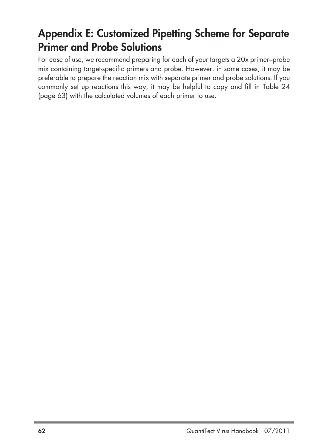## **Appendix E: Customized Pipetting Scheme for Separate Primer and Probe Solutions**

For ease of use, we recommend preparing for each of your targets a 20x primer–probe mix containing target-specific primers and probe. However, in some cases, it may be preferable to prepare the reaction mix with separate primer and probe solutions. If you commonly set up reactions this way, it may be helpful to copy and fill in Table 24 (page 63) with the calculated volumes of each primer to use.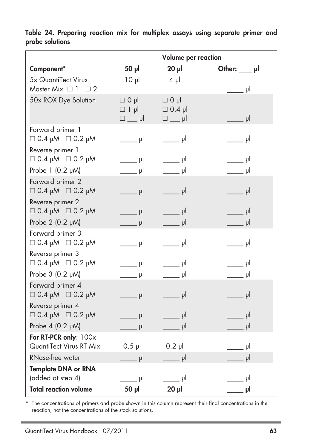|                                                     |                                                                            | Volume per reaction                                                        |                             |
|-----------------------------------------------------|----------------------------------------------------------------------------|----------------------------------------------------------------------------|-----------------------------|
| Component*                                          | 50 µl                                                                      | $20$ $\mu$                                                                 | Other: $\_\_\$ pl           |
| 5x QuantiTect Virus<br>Master Mix $\Box$ 1 $\Box$ 2 | $10 \mu$                                                                   | $4 \mu$                                                                    | $\rule{1em}{0.15mm}$ pl     |
| 50x ROX Dye Solution                                | $\Box$ 0 $\mu$<br>$\Box$ 1 µ<br>$\square$ pl                               | $\Box$ 0 µl<br>$\Box$ 0.4 µl<br>$\square$ pl                               | $\overline{\phantom{a}}$ pl |
| Forward primer 1<br>$\Box$ 0.4 pM $\Box$ 0.2 pM     | _____ µl                                                                   | $\rule{1em}{0.15mm}$ pl                                                    |                             |
| Reverse primer 1<br>$\Box$ 0.4 pM $\Box$ 0.2 pM     | $\overline{\phantom{a}}$ $\overline{\phantom{a}}$ $\overline{\phantom{a}}$ | $\overline{\phantom{a}}$ $\overline{\phantom{a}}$                          | $\overline{\phantom{a}}$ pl |
| Probe 1 (0.2 µM)                                    | $\rule{1em}{0.15mm}$ pl                                                    | ____ µI                                                                    | ____ µI                     |
| Forward primer 2<br>$\Box$ 0.4 µM $\Box$ 0.2 µM     | $\rule{1em}{0.15mm}$ pl                                                    | $\overline{\phantom{a}}$ $\overline{\phantom{a}}$ $\overline{\phantom{a}}$ | $\_\_\_$ pl                 |
| Reverse primer 2<br>$\Box$ 0.4 pM $\Box$ 0.2 pM     | $\rule{1em}{0.15mm}$ pl                                                    | $\overline{\phantom{a}}$ pl                                                | $\overline{\phantom{a}}$ pl |
| Probe 2 (0.2 µM)                                    | $\rule{1em}{0.15mm}$ pl                                                    | $\frac{1}{\sqrt{2}}$ pl                                                    | $\rule{1em}{0.15mm}$ pl     |
| Forward primer 3<br>$\Box$ 0.4 µM $\Box$ 0.2 µM     | $\rule{1em}{0.15mm}$ pl                                                    | $\qquad \qquad$ µl                                                         | i u pl                      |
| Reverse primer 3<br>$\Box$ 0.4 pM $\Box$ 0.2 pM     | $\rule{1em}{0.15mm}$ pl                                                    | $\rule{1em}{0.15mm}$ pl                                                    | $\qquad \qquad$ µl          |
| Probe 3 (0.2 µM)                                    | $\rule{1em}{0.15mm}$ pl                                                    | _____ µI                                                                   | $\rule{1em}{0.15mm}$ pl     |
| Forward primer 4<br>$\Box$ 0.4 pM $\Box$ 0.2 pM     | $\frac{1}{2}$ pl                                                           | $\Box$ $\mu$                                                               | $=$ $\mu$                   |
| Reverse primer 4<br>$\Box$ 0.4 µM $\Box$ 0.2 µM     | $\overline{\phantom{a}}$ $\overline{\phantom{a}}$ $\overline{\phantom{a}}$ | $\Box$ $\Box$                                                              | $\_\_$ µl                   |
| Probe 4 (0.2 µM)                                    | $\rule{1em}{0.15mm}$ pl                                                    | $\frac{1}{\sqrt{2}}$ pl                                                    | $\rule{1em}{0.15mm}$ pl     |
| For RT-PCR only: 100x<br>QuantiTect Virus RT Mix    | $0.5$ $\mu$                                                                | $0.2$ pl                                                                   | ار _                        |
| <b>RNase-free water</b>                             | $\rule{1em}{0.15mm}$ pl                                                    | $\rule{1em}{0.15mm}$ pl                                                    | اµ.                         |
| <b>Template DNA or RNA</b>                          |                                                                            |                                                                            |                             |
| (added at step 4)                                   | $=$ $\frac{1}{2}$                                                          |                                                                            | اہ ۔                        |
| <b>Total reaction volume</b>                        | $50 \mu$                                                                   | $20$ JJ                                                                    | ابر _                       |

**Table 24. Preparing reaction mix for multiplex assays using separate primer and probe solutions**

\* The concentrations of primers and probe shown in this column represent their final concentrations in the reaction, not the concentrations of the stock solutions.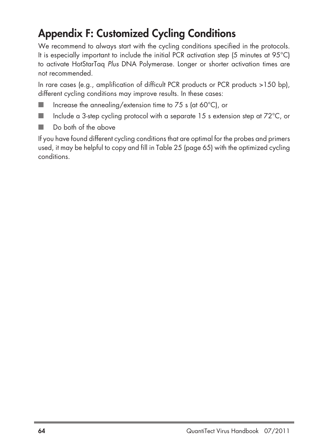## **Appendix F: Customized Cycling Conditions**

We recommend to always start with the cycling conditions specified in the protocols. It is especially important to include the initial PCR activation step (5 minutes at 95°C) to activate HotStarTaq Plus DNA Polymerase. Longer or shorter activation times are not recommended.

In rare cases (e.g., amplification of difficult PCR products or PCR products >150 bp), different cycling conditions may improve results. In these cases:

- Increase the annealing/extension time to  $75$  s (at  $60^{\circ}$ C), or
- Include a 3-step cycling protocol with a separate 15 s extension step at  $72^{\circ}$ C, or
- Do both of the above

If you have found different cycling conditions that are optimal for the probes and primers used, it may be helpful to copy and fill in Table 25 (page 65) with the optimized cycling conditions.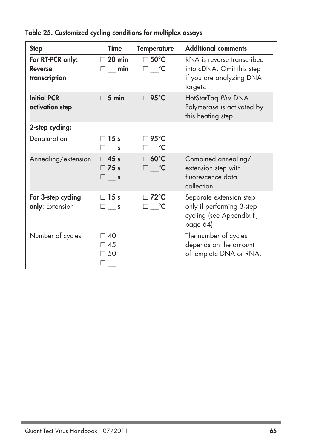| <b>Step</b>                                         | <b>Time</b>                               | <b>Temperature</b>                                | <b>Additional comments</b>                                                                      |
|-----------------------------------------------------|-------------------------------------------|---------------------------------------------------|-------------------------------------------------------------------------------------------------|
| For RT-PCR only:<br><b>Reverse</b><br>transcription | $\Box$ 20 min<br>$\square$ min            | $\square$ 50°C<br>⊟ °C                            | RNA is reverse transcribed<br>into cDNA. Omit this step<br>if you are analyzing DNA<br>targets. |
| <b>Initial PCR</b><br>activation step               | $\Box$ 5 min                              | $\Box$ 95°C                                       | HotStarTaq Plus DNA<br>Polymerase is activated by<br>this heating step.                         |
| 2-step cycling:                                     |                                           |                                                   |                                                                                                 |
| Denaturation                                        | $\Box$ 15 s<br>$\square$ __ s             | ⊟ 95°C<br>⊐ __°C                                  |                                                                                                 |
| Annealing/extension                                 | $\Box$ 45 s<br>$\Box$ 75 s<br>$\square$ s | $\Box$ 60°C<br>$\square$ $\lrcorner$ $\mathsf{C}$ | Combined annealing/<br>extension step with<br>fluorescence data<br>collection                   |
| For 3-step cycling<br>only: Extension               | $\Box$ 15 s<br>$\square$ __ s             | $\Box$ 72°C<br>⊟ °C                               | Separate extension step<br>only if performing 3-step<br>cycling (see Appendix F,<br>page 64).   |
| Number of cycles                                    | ר40<br>$\Box$ 45<br>$\Box$ 50             |                                                   | The number of cycles<br>depends on the amount<br>of template DNA or RNA.                        |

### **Table 25. Customized cycling conditions for multiplex assays**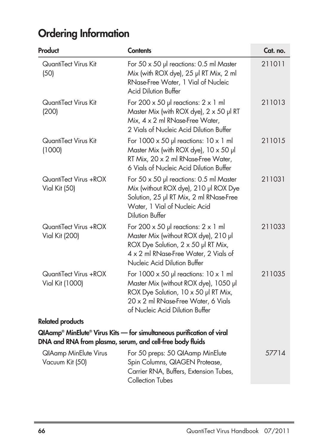# **Ordering Information**

| Product                                         | <b>Contents</b>                                                                                                                                                                                               | Cat. no. |
|-------------------------------------------------|---------------------------------------------------------------------------------------------------------------------------------------------------------------------------------------------------------------|----------|
| QuantiTect Virus Kit<br>(50)                    | For 50 x 50 µl reactions: 0.5 ml Master<br>Mix (with ROX dye), 25 µl RT Mix, 2 ml<br>RNase-Free Water, 1 Vial of Nucleic<br><b>Acid Dilution Buffer</b>                                                       | 211011   |
| QuantiTect Virus Kit<br>(200)                   | For 200 $\times$ 50 µ reactions: 2 $\times$ 1 ml<br>Master Mix (with ROX dye), $2 \times 50$ µl RT<br>Mix, 4 x 2 ml RNase-Free Water,<br>2 Vials of Nucleic Acid Dilution Buffer                              | 211013   |
| QuantiTect Virus Kit<br>(1000)                  | For $1000 \times 50$ pl reactions: $10 \times 1$ ml<br>Master Mix (with ROX dye), $10 \times 50$ pl<br>RT Mix, 20 x 2 ml RNase-Free Water,<br>6 Vials of Nucleic Acid Dilution Buffer                         | 211015   |
| QuantiTect Virus +ROX<br>Vial Kit (50)          | For 50 x 50 µl reactions: 0.5 ml Master<br>Mix (without ROX dye), 210 µl ROX Dye<br>Solution, 25 µl RT Mix, 2 ml RNase-Free<br>Water, 1 Vial of Nucleic Acid<br><b>Dilution Buffer</b>                        | 211031   |
| QuantiTect Virus +ROX<br>Vial Kit (200)         | For 200 $\times$ 50 µl reactions: 2 $\times$ 1 ml<br>Master Mix (without ROX dye), 210 µl<br>ROX Dye Solution, 2 x 50 µl RT Mix,<br>4 x 2 ml RNase-Free Water, 2 Vials of<br>Nucleic Acid Dilution Buffer     | 211033   |
| QuantiTect Virus +ROX<br>Vial Kit (1000)        | For $1000 \times 50$ µ reactions: $10 \times 1$ ml<br>Master Mix (without ROX dye), 1050 µl<br>ROX Dye Solution, 10 x 50 µl RT Mix,<br>20 x 2 ml RNase-Free Water, 6 Vials<br>of Nucleic Acid Dilution Buffer | 211035   |
| <b>Related products</b>                         |                                                                                                                                                                                                               |          |
|                                                 | QIAamp® MinElute® Virus Kits — for simultaneous purification of viral<br>DNA and RNA from plasma, serum, and cell-free body fluids                                                                            |          |
| <b>QIAamp MinElute Virus</b><br>Vacuum Kit (50) | For 50 preps: 50 QIAamp MinElute<br>Spin Columns, QIAGEN Protease,<br>Carrier RNA, Buffers, Extension Tubes,<br><b>Collection Tubes</b>                                                                       | 57714    |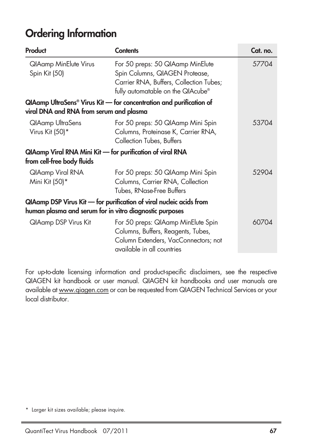### **Ordering Information**

| Product                                                                                 | <b>Contents</b>                                                                                                                                    | Cat. no. |
|-----------------------------------------------------------------------------------------|----------------------------------------------------------------------------------------------------------------------------------------------------|----------|
| <b>QIAamp MinElute Virus</b><br>Spin Kit (50)                                           | For 50 preps: 50 QIAamp MinElute<br>Spin Columns, QIAGEN Protease,<br>Carrier RNA, Buffers, Collection Tubes;<br>fully automatable on the QIAcube® | 57704    |
| viral DNA and RNA from serum and plasma                                                 | QIAamp UltraSens® Virus Kit — for concentration and purification of                                                                                |          |
| <b>QIAamp UltraSens</b><br>Virus Kit (50)*                                              | For 50 preps: 50 QIAamp Mini Spin<br>Columns, Proteinase K, Carrier RNA,<br>Collection Tubes, Buffers                                              | 53704    |
| QIAamp Viral RNA Mini Kit - for purification of viral RNA<br>from cell-free body fluids |                                                                                                                                                    |          |
| QIAamp Viral RNA<br>Mini Kit (50)*                                                      | For 50 preps: 50 QIAamp Mini Spin<br>Columns, Carrier RNA, Collection<br>Tubes, RNase-Free Buffers                                                 | 52904    |
| human plasma and serum for in vitro diagnostic purposes                                 | QIAamp DSP Virus Kit - for purification of viral nucleic acids from                                                                                |          |
| <b>QIAamp DSP Virus Kit</b>                                                             | For 50 preps: QIAamp MinElute Spin<br>Columns, Buffers, Reagents, Tubes,<br>Column Extenders, VacConnectors; not<br>available in all countries     | 60704    |

For up-to-date licensing information and product-specific disclaimers, see the respective QIAGEN kit handbook or user manual. QIAGEN kit handbooks and user manuals are available at www.qiagen.com or can be requested from QIAGEN Technical Services or your local distributor.

<sup>\*</sup> Larger kit sizes available; please inquire.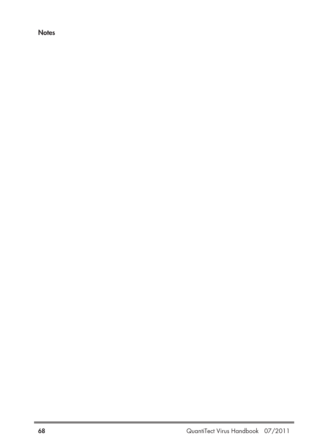**Notes**

J.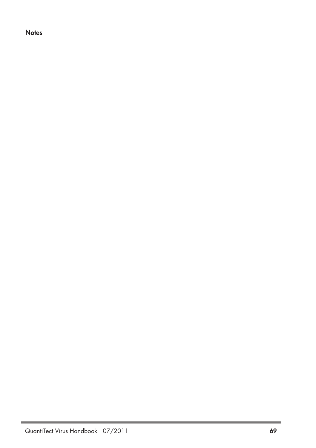**Notes**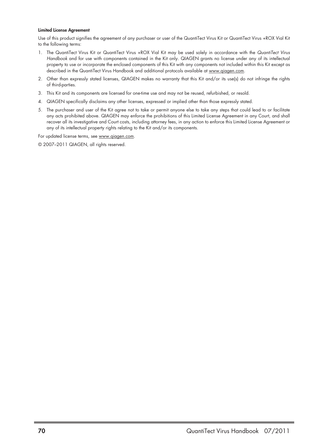#### **Limited License Agreement**

Use of this product signifies the agreement of any purchaser or user of the QuantiTect Virus Kit or QuantiTect Virus +ROX Vial Kit to the following terms:

- 1. The QuantiTect Virus Kit or QuantiTect Virus +ROX Vial Kit may be used solely in accordance with the QuantiTect Virus Handbook and for use with components contained in the Kit only. QIAGEN grants no license under any of its intellectual property to use or incorporate the enclosed components of this Kit with any components not included within this Kit except as described in the QuantiTect Virus Handbook and additional protocols available at www.qiagen.com.
- 2. Other than expressly stated licenses, QIAGEN makes no warranty that this Kit and/or its use(s) do not infringe the rights of third-parties.
- 3. This Kit and its components are licensed for one-time use and may not be reused, refurbished, or resold.
- 4. QIAGEN specifically disclaims any other licenses, expressed or implied other than those expressly stated.
- 5. The purchaser and user of the Kit agree not to take or permit anyone else to take any steps that could lead to or facilitate any acts prohibited above. QIAGEN may enforce the prohibitions of this Limited License Agreement in any Court, and shall recover all its investigative and Court costs, including attorney fees, in any action to enforce this Limited License Agreement or any of its intellectual property rights relating to the Kit and/or its components.

For updated license terms, see www.qiagen.com.

© 2007–2011 QIAGEN, all rights reserved.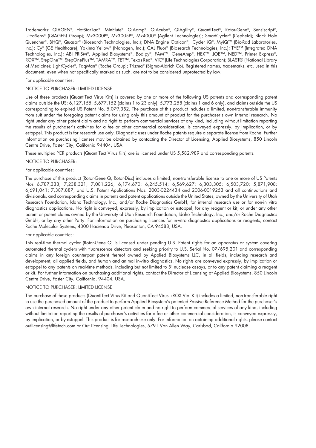Trademarks: QIAGEN®, HotStarTaq®, MinElute®, QIAamp®, QIAcube®, QIAgility®, QuantiTect®, Rotor-Gene®, Sensiscript®, UltraSens® (QIAGEN Group); Mx3000P®, Mx3005P®, Mx4000® (Agilent Technologies); SmartCycler® (Cepheid); Black Hole Quencher®, BHQ®, Quasar® (Biosearch Technologies, Inc.); DNA Engine Opticon®, iCycler iQ®, MyiQ™ (Bio-Rad Laboratories, Inc.); Cy® (GE Healthcare); Yakima Yellow® (Nanogen, Inc.); CAL Fluor® (Biosearch Technologies, Inc.); TYE™ (Integrated DNA Technologies, Inc.); ABI PRISM®, Applied Biosystems®, Bodipy®, FAM™, GeneAmp®, HEX™, JOE™, NED™, Primer Express®, ROX™, StepOne™, StepOnePlus™, TAMRA™, TET™, Texas Red®, VIC® (Life Technologies Corporation); BLAST® (National Library of Medicine); LightCycler®, TaqMan® (Roche Group); Trizma® (Sigma-Aldrich Co). Registered names, trademarks, etc. used in this document, even when not specifically marked as such, are not to be considered unprotected by law.

#### For applicable countries:

#### NOTICE TO PURCHASER: LIMITED LICENSE

Use of these products (QuantiTect Virus Kits) is covered by one or more of the following US patents and corresponding patent claims outside the US: 6,127,155, 5,677,152 (claims 1 to 23 only), 5,773,258 (claims 1 and 6 only), and claims outside the US corresponding to expired US Patent No. 5,079,352. The purchase of this product includes a limited, non-transferable immunity from suit under the foregoing patent claims for using only this amount of product for the purchaser's own internal research. No right under any other patent claim and no right to perform commercial services of any kind, including without limitation reporting the results of purchaser's activities for a fee or other commercial consideration, is conveyed expressly, by implication, or by estoppel. This product is for research use only. Diagnostic uses under Roche patents require a separate license from Roche. Further information on purchasing licenses may be obtained by contacting the Director of Licensing, Applied Biosystems, 850 Lincoln Centre Drive, Foster City, California 94404, USA.

These multiplex PCR products (QuantiTect Virus Kits) are is licensed under US 5,582,989 and corresponding patents.

#### NOTICE TO PURCHASER:

#### For applicable countries:

The purchase of this product (Rotor-Gene Q, Rotor-Disc) includes a limited, non-transferable license to one or more of US Patents Nos 6,787,338; 7,238,321; 7,081,226; 6,174,670; 6,245,514; 6,569,627; 6,303,305; 6,503,720; 5,871,908; 6,691,041; 7,387,887; and U.S. Patent Applications Nos. 2003-0224434 and 2006-0019253 and all continuations and divisionals, and corresponding claims in patents and patent applications outside the United States, owned by the University of Utah Research Foundation, Idaho Technology, Inc., and/or Roche Diagnostics GmbH, for internal research use or for non-in vitro diagnostics applications. No right is conveyed, expressly, by implication or estoppel, for any reagent or kit, or under any other patent or patent claims owned by the University of Utah Research Foundation, Idaho Technology, Inc., and/or Roche Diagnostics GmbH, or by any other Party. For information on purchasing licences for in-vitro diagnostics applications or reagents, contact Roche Molecular Systems, 4300 Hacienda Drive, Pleasanton, CA 94588, USA.

#### For applicable countries:

This real-time thermal cycler (Rotor-Gene Q) is licensed under pending U.S. Patent rights for an apparatus or system covering automated thermal cyclers with fluorescence detectors and seeking priority to U.S. Serial No. 07/695,201 and corresponding claims in any foreign counterpart patent thereof owned by Applied Biosystems LLC, in all fields, including research and development, all applied fields, and human and animal in-vitro diagnostics. No rights are conveyed expressly, by implication or estoppel to any patents on real-time methods, including but not limited to 5' nuclease assays, or to any patent claiming a reagent or kit. For further information on purchasing additional rights, contact the Director of Licensing at Applied Biosystems, 850 Lincoln Centre Drive, Foster City, California, 94404, USA.

#### NOTICE TO PURCHASER: LIMITED LICENSE

The purchase of these products (QuantiTect Virus Kit and QuantiTect Virus +ROX Vial Kit) includes a limited, non-transferable right to use the purchased amount of the product to perform Applied Biosystem's patented Passive Reference Method for the purchaser's own internal research. No right under any other patent claim and no right to perform commercial services of any kind, including without limitation reporting the results of purchaser's activities for a fee or other commercial consideration, is conveyed expressly, by implication, or by estoppel. This product is for research use only. For information on obtaining additional rights, please contact outlicensing@lifetech.com or Out Licensing, Life Technologies, 5791 Van Allen Way, Carlsbad, California 92008.